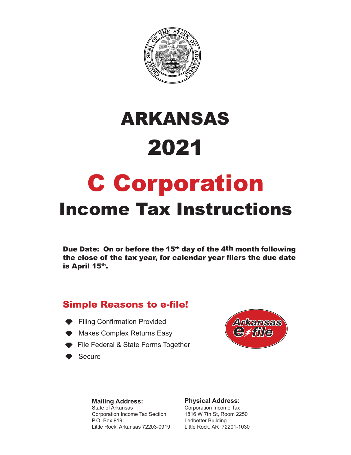

# 2021 ARKANSAS

# C Corporation Income Tax Instructions

Due Date: On or before the 15<sup>th</sup> day of the 4<sup>th</sup> month following the close of the tax year, for calendar year filers the due date is April 15th.

## Simple Reasons to e-file!

- **Filing Confirmation Provided**
- ◆ Makes Complex Returns Easy
- **Eile Federal & State Forms Together**
- Secure



#### **Mailing Address:**

State of Arkansas Corporation Income Tax Section P.O. Box 919 Little Rock, Arkansas 72203-0919

#### **Physical Address:**

Corporation Income Tax 1816 W 7th St, Room 2250 Ledbetter Building Little Rock, AR 72201-1030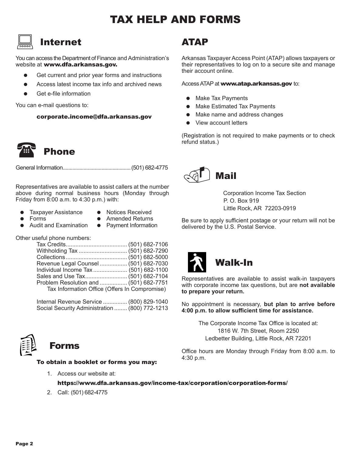# 'AX HELP AND FORMS

## Internet  $\boxed{\square}$

You can access the Department of Finance and Administration's website at www.dfa.arkansas.gov.

- Get current and prior year forms and instructions
- Access latest income tax info and archived news
- Get e-file information

You can e-mail questions to:

corporate.income@dfa.arkansas.gov



Phone

General Information.................................................(501) 682-4775

Representatives are available to assist callers at the number above during normal business hours (Monday through Friday from 8:00 a.m. to 4:30 p.m.) with:

- Taxpayer Assistance Notices Received<br>● Forms Amended Returns
- 

- Amended Returns<br>Payment Information
- Audit and Examination  $\bullet$

Other useful phone numbers:

| Revenue Legal Counsel  (501) 682-7030         |  |
|-----------------------------------------------|--|
| Individual Income Tax  (501) 682-1100         |  |
|                                               |  |
| Problem Resolution and  (501) 682-7751        |  |
| Tax Information Office (Offers In Compromise) |  |

 Internal Revenue Service ............... (800) 829-1040 Social Security Administration ........ (800) 772-1213



# To obtain a booklet or forms you may:

## 1. Access our website at:

ATAP

Arkansas Taxpayer Access Point (ATAP) allows taxpayers or their representatives to log on to a secure site and manage their account online.

Access ATAP at www.atap.arkansas.gov to:

- Make Tax Payments
- Make Estimated Tax Payments
- Make name and address changes
- View account letters

(Registration is not required to make payments or to check refund status.)



 Corporation Income Tax Section P. O. Box 919 Little Rock, AR 72203-0919

Be sure to apply sufficient postage or your return will not be delivered by the U.S. Postal Service.



Representatives are available to assist walk-in taxpayers with corporate income tax questions, but are **not available to prepare your return.**

No appointment is necessary, **but plan to arrive before 4:00 p.m. to allow sufficient time for assistance.**

> The Corporate Income Tax Office is located at: 1816 W. 7th Street, Room 2250 Ledbetter Building, Little Rock, AR 72201

Office hours are Monday through Friday from 8:00 a.m. to 4:30 p.m.

https://www.dfa.arkansas.gov/income-tax/corporation/corporation-forms/

2. Call: (501) 682-4775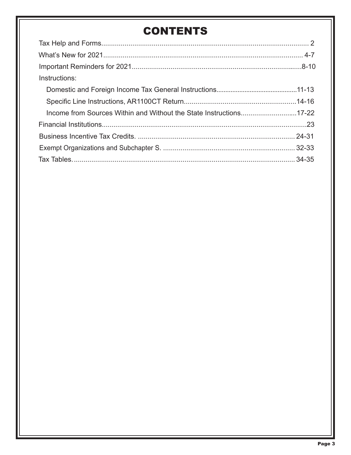# **CONTENTS**

| Instructions:                                                      |  |
|--------------------------------------------------------------------|--|
|                                                                    |  |
|                                                                    |  |
| Income from Sources Within and Without the State Instructions17-22 |  |
|                                                                    |  |
|                                                                    |  |
|                                                                    |  |
|                                                                    |  |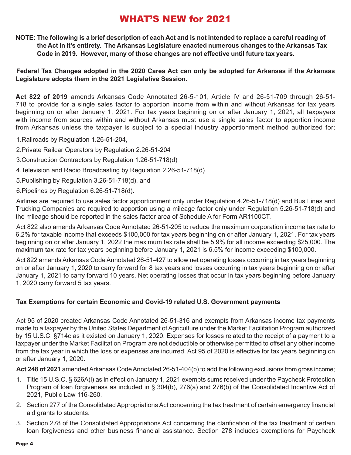# WHAT'S NEW for 2021

**NOTE: The following is a brief description of each Act and is not intended to replace a careful reading of the Act in it's entirety. The Arkansas Legislature enacted numerous changes to the Arkansas Tax Code in 2019. However, many of those changes are not effective until future tax years.** 

#### **Federal Tax Changes adopted in the 2020 Cares Act can only be adopted for Arkansas if the Arkansas Legislature adopts them in the 2021 Legislative Session.**

**Act 822 of 2019** amends Arkansas Code Annotated 26-5-101, Article IV and 26-51-709 through 26-51- 718 to provide for a single sales factor to apportion income from within and without Arkansas for tax years beginning on or after January 1, 2021. For tax years beginning on or after January 1, 2021, all taxpayers with income from sources within and without Arkansas must use a single sales factor to apportion income from Arkansas unless the taxpayer is subject to a special industry apportionment method authorized for;

1.Railroads by Regulation 1.26-51-204,

- 2.Private Railcar Operators by Regulation 2.26-51-204
- 3.Construction Contractors by Regulation 1.26-51-718(d)
- 4.Television and Radio Broadcasting by Regulation 2.26-51-718(d)
- 5.Publishing by Regulation 3.26-51-718(d), and
- 6.Pipelines by Regulation 6.26-51-718(d).

Airlines are required to use sales factor apportionment only under Regulation 4.26-51-718(d) and Bus Lines and Trucking Companies are required to apportion using a mileage factor only under Regulation 5.26-51-718(d) and the mileage should be reported in the sales factor area of Schedule A for Form AR1100CT.

Act 822 also amends Arkansas Code Annotated 26-51-205 to reduce the maximum corporation income tax rate to 6.2% for taxable income that exceeds \$100,000 for tax years beginning on or after January 1, 2021. For tax years beginning on or after January 1, 2022 the maximum tax rate shall be 5.9% for all income exceeding \$25,000. The maximum tax rate for tax years beginning before January 1, 2021 is 6.5% for income exceeding \$100,000.

Act 822 amends Arkansas Code Annotated 26-51-427 to allow net operating losses occurring in tax years beginning on or after January 1, 2020 to carry forward for 8 tax years and losses occurring in tax years beginning on or after January 1, 2021 to carry forward 10 years. Net operating losses that occur in tax years beginning before January 1, 2020 carry forward 5 tax years.

#### **Tax Exemptions for certain Economic and Covid-19 related U.S. Government payments**

Act 95 of 2020 created Arkansas Code Annotated 26-51-316 and exempts from Arkansas income tax payments made to a taxpayer by the United States Department of Agriculture under the Market Facilitation Program authorized by 15 U.S.C. §714c as it existed on January 1, 2020. Expenses for losses related to the receipt of a payment to a taxpayer under the Market Facilitation Program are not deductible or otherwise permitted to offset any other income from the tax year in which the loss or expenses are incurred. Act 95 of 2020 is effective for tax years beginning on or after January 1, 2020.

**Act 248 of 2021** amended Arkansas Code Annotated 26-51-404(b) to add the following exclusions from gross income;

- 1. Title 15 U.S.C. § 626A(i) as in effect on January 1, 2021 exempts sums received under the Paycheck Protection Program of loan forgiveness as included in § 304(b), 276(a) and 276(b) of the Consolidated Incentive Act of 2021, Public Law 116-260.
- 2. Section 277 of the Consolidated Appropriations Act concerning the tax treatment of certain emergency financial aid grants to students.
- 3. Section 278 of the Consolidated Appropriations Act concerning the clarification of the tax treatment of certain loan forgiveness and other business financial assistance. Section 278 includes exemptions for Paycheck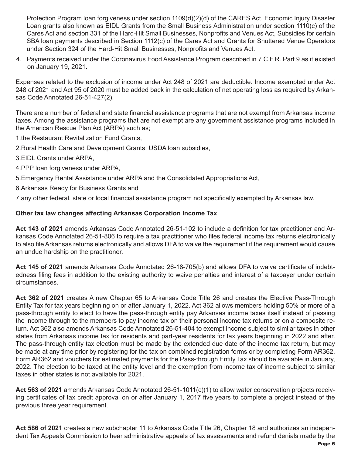Protection Program loan forgiveness under section 1109(d)(2)(d) of the CARES Act, Economic Injury Disaster Loan grants also known as EIDL Grants from the Small Business Administration under section 1110(c) of the Cares Act and section 331 of the Hard-Hit Small Businesses, Nonprofits and Venues Act, Subsidies for certain SBA loan payments described in Section 1112(c) of the Cares Act and Grants for Shuttered Venue Operators under Section 324 of the Hard-Hit Small Businesses, Nonprofits and Venues Act.

4. Payments received under the Coronavirus Food Assistance Program described in 7 C.F.R. Part 9 as it existed on January 19, 2021.

Expenses related to the exclusion of income under Act 248 of 2021 are deductible. Income exempted under Act 248 of 2021 and Act 95 of 2020 must be added back in the calculation of net operating loss as required by Arkansas Code Annotated 26-51-427(2).

There are a number of federal and state financial assistance programs that are not exempt from Arkansas income taxes. Among the assistance programs that are not exempt are any government assistance programs included in the American Rescue Plan Act (ARPA) such as;

1.the Restaurant Revitalization Fund Grants,

- 2.Rural Health Care and Development Grants, USDA loan subsidies,
- 3.EIDL Grants under ARPA,
- 4.PPP loan forgiveness under ARPA,
- 5.Emergency Rental Assistance under ARPA and the Consolidated Appropriations Act,
- 6.Arkansas Ready for Business Grants and

7.any other federal, state or local financial assistance program not specifically exempted by Arkansas law.

#### **Other tax law changes affecting Arkansas Corporation Income Tax**

**Act 143 of 2021** amends Arkansas Code Annotated 26-51-102 to include a definition for tax practitioner and Arkansas Code Annotated 26-51-806 to require a tax practitioner who files federal income tax returns electronically to also file Arkansas returns electronically and allows DFA to waive the requirement if the requirement would cause an undue hardship on the practitioner.

**Act 145 of 2021** amends Arkansas Code Annotated 26-18-705(b) and allows DFA to waive certificate of indebtedness filing fees in addition to the existing authority to waive penalties and interest of a taxpayer under certain circumstances.

**Act 362 of 2021** creates A new Chapter 65 to Arkansas Code Title 26 and creates the Elective Pass-Through Entity Tax for tax years beginning on or after January 1, 2022. Act 362 allows members holding 50% or more of a pass-through entity to elect to have the pass-through entity pay Arkansas income taxes itself instead of passing the income through to the members to pay income tax on their personal income tax returns or on a composite return. Act 362 also amends Arkansas Code Annotated 26-51-404 to exempt income subject to similar taxes in other states from Arkansas income tax for residents and part-year residents for tax years beginning in 2022 and after. The pass-through entity tax election must be made by the extended due date of the income tax return, but may be made at any time prior by registering for the tax on combined registration forms or by completing Form AR362. Form AR362 and vouchers for estimated payments for the Pass-through Entity Tax should be available in January, 2022. The election to be taxed at the entity level and the exemption from income tax of income subject to similar taxes in other states is not available for 2021.

**Act 563 of 2021** amends Arkansas Code Annotated 26-51-1011(c)(1) to allow water conservation projects receiving certificates of tax credit approval on or after January 1, 2017 five years to complete a project instead of the previous three year requirement.

**Act 586 of 2021** creates a new subchapter 11 to Arkansas Code Title 26, Chapter 18 and authorizes an independent Tax Appeals Commission to hear administrative appeals of tax assessments and refund denials made by the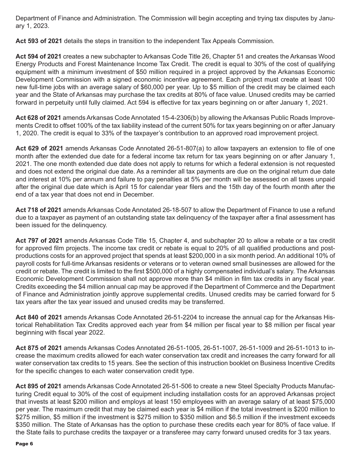Department of Finance and Administration. The Commission will begin accepting and trying tax disputes by January 1, 2023.

**Act 593 of 2021** details the steps in transition to the independent Tax Appeals Commission.

**Act 594 of 2021** creates a new subchapter to Arkansas Code Title 26, Chapter 51 and creates the Arkansas Wood Energy Products and Forest Maintenance Income Tax Credit. The credit is equal to 30% of the cost of qualifying equipment with a minimum investment of \$50 million required in a project approved by the Arkansas Economic Development Commission with a signed economic incentive agreement. Each project must create at least 100 new full-time jobs with an average salary of \$60,000 per year. Up to \$5 million of the credit may be claimed each year and the State of Arkansas may purchase the tax credits at 80% of face value. Unused credits may be carried forward in perpetuity until fully claimed. Act 594 is effective for tax years beginning on or after January 1, 2021.

**Act 628 of 2021** amends Arkansas Code Annotated 15-4-2306(b) by allowing the Arkansas Public Roads Improvements Credit to offset 100% of the tax liability instead of the current 50% for tax years beginning on or after January 1, 2020. The credit is equal to 33% of the taxpayer's contribution to an approved road improvement project.

**Act 629 of 2021** amends Arkansas Code Annotated 26-51-807(a) to allow taxpayers an extension to file of one month after the extended due date for a federal income tax return for tax years beginning on or after January 1, 2021. The one month extended due date does not apply to returns for which a federal extension is not requested and does not extend the original due date. As a reminder all tax payments are due on the original return due date and interest at 10% per annum and failure to pay penalties at 5% per month will be assessed on all taxes unpaid after the original due date which is April 15 for calendar year filers and the 15th day of the fourth month after the end of a tax year that does not end in December.

**Act 718 of 2021** amends Arkansas Code Annotated 26-18-507 to allow the Department of Finance to use a refund due to a taxpayer as payment of an outstanding state tax delinquency of the taxpayer after a final assessment has been issued for the delinquency.

**Act 797 of 2021** amends Arkansas Code Title 15, Chapter 4, and subchapter 20 to allow a rebate or a tax credit for approved film projects. The income tax credit or rebate is equal to 20% of all qualified productions and postproductions costs for an approved project that spends at least \$200,000 in a six month period. An additional 10% of payroll costs for full-time Arkansas residents or veterans or to veteran owned small businesses are allowed for the credit or rebate. The credit is limited to the first \$500,000 of a highly compensated individual's salary. The Arkansas Economic Development Commission shall not approve more than \$4 million in film tax credits in any fiscal year. Credits exceeding the \$4 million annual cap may be approved if the Department of Commerce and the Department of Finance and Administration jointly approve supplemental credits. Unused credits may be carried forward for 5 tax years after the tax year issued and unused credits may be transferred.

**Act 840 of 2021** amends Arkansas Code Annotated 26-51-2204 to increase the annual cap for the Arkansas Historical Rehabilitation Tax Credits approved each year from \$4 million per fiscal year to \$8 million per fiscal year beginning with fiscal year 2022.

**Act 875 of 2021** amends Arkansas Codes Annotated 26-51-1005, 26-51-1007, 26-51-1009 and 26-51-1013 to increase the maximum credits allowed for each water conservation tax credit and increases the carry forward for all water conservation tax credits to 15 years. See the section of this instruction booklet on Business Incentive Credits for the specific changes to each water conservation credit type.

**Act 895 of 2021** amends Arkansas Code Annotated 26-51-506 to create a new Steel Specialty Products Manufacturing Credit equal to 30% of the cost of equipment including installation costs for an approved Arkansas project that invests at least \$200 million and employs at least 150 employees with an average salary of at least \$75,000 per year. The maximum credit that may be claimed each year is \$4 million if the total investment is \$200 million to \$275 million, \$5 million if the investment is \$275 million to \$350 million and \$6.5 million if the investment exceeds \$350 million. The State of Arkansas has the option to purchase these credits each year for 80% of face value. If the State fails to purchase credits the taxpayer or a transferee may carry forward unused credits for 3 tax years.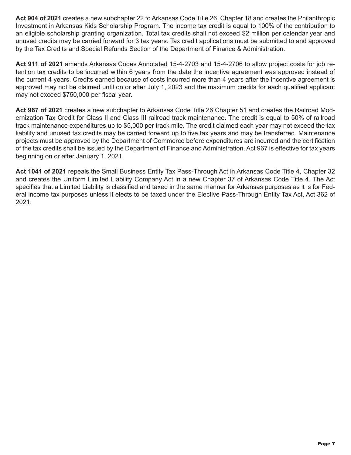**Act 904 of 2021** creates a new subchapter 22 to Arkansas Code Title 26, Chapter 18 and creates the Philanthropic Investment in Arkansas Kids Scholarship Program. The income tax credit is equal to 100% of the contribution to an eligible scholarship granting organization. Total tax credits shall not exceed \$2 million per calendar year and unused credits may be carried forward for 3 tax years. Tax credit applications must be submitted to and approved by the Tax Credits and Special Refunds Section of the Department of Finance & Administration.

**Act 911 of 2021** amends Arkansas Codes Annotated 15-4-2703 and 15-4-2706 to allow project costs for job retention tax credits to be incurred within 6 years from the date the incentive agreement was approved instead of the current 4 years. Credits earned because of costs incurred more than 4 years after the incentive agreement is approved may not be claimed until on or after July 1, 2023 and the maximum credits for each qualified applicant may not exceed \$750,000 per fiscal year.

**Act 967 of 2021** creates a new subchapter to Arkansas Code Title 26 Chapter 51 and creates the Railroad Modernization Tax Credit for Class II and Class III railroad track maintenance. The credit is equal to 50% of railroad track maintenance expenditures up to \$5,000 per track mile. The credit claimed each year may not exceed the tax liability and unused tax credits may be carried forward up to five tax years and may be transferred. Maintenance projects must be approved by the Department of Commerce before expenditures are incurred and the certification of the tax credits shall be issued by the Department of Finance and Administration. Act 967 is effective for tax years beginning on or after January 1, 2021.

**Act 1041 of 2021** repeals the Small Business Entity Tax Pass-Through Act in Arkansas Code Title 4, Chapter 32 and creates the Uniform Limited Liability Company Act in a new Chapter 37 of Arkansas Code Title 4. The Act specifies that a Limited Liability is classified and taxed in the same manner for Arkansas purposes as it is for Federal income tax purposes unless it elects to be taxed under the Elective Pass-Through Entity Tax Act, Act 362 of 2021.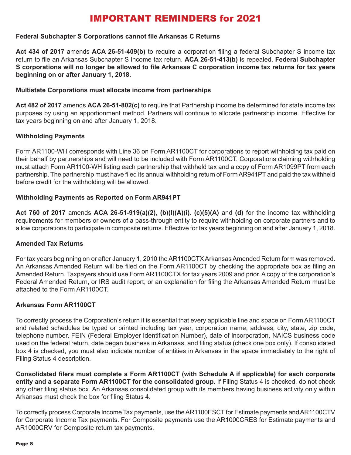# IMPORTANT REMINDERS for 2021

#### **Federal Subchapter S Corporations cannot file Arkansas C Returns**

**Act 434 of 2017** amends **ACA 26-51-409(b)** to require a corporation filing a federal Subchapter S income tax return to file an Arkansas Subchapter S income tax return. **ACA 26-51-413(b)** is repealed. **Federal Subchapter S corporations will no longer be allowed to file Arkansas C corporation income tax returns for tax years beginning on or after January 1, 2018.** 

#### **Multistate Corporations must allocate income from partnerships**

**Act 482 of 2017** amends **ACA 26-51-802(c)** to require that Partnership income be determined for state income tax purposes by using an apportionment method. Partners will continue to allocate partnership income. Effective for tax years beginning on and after January 1, 2018.

#### **Withholding Payments**

Form AR1100-WH corresponds with Line 36 on Form AR1100CT for corporations to report withholding tax paid on their behalf by partnerships and will need to be included with Form AR1100CT. Corporations claiming withholding must attach Form AR1100-WH listing each partnership that withheld tax and a copy of Form AR1099PT from each partnership. The partnership must have filed its annual withholding return of Form AR941PT and paid the tax withheld before credit for the withholding will be allowed.

#### **Withholding Payments as Reported on Form AR941PT**

**Act 760 of 2017** amends **ACA 26-51-919(a)(2)**, **(b)(l)(A)(i)**. **(c)(5)(A)** and **(d)** for the income tax withholding requirements for members or owners of a pass-through entity to require withholding on corporate partners and to allow corporations to participate in composite returns. Effective for tax years beginning on and after January 1, 2018.

#### **Amended Tax Returns**

For tax years beginning on or after January 1, 2010 the AR1100CTX Arkansas Amended Return form was removed. An Arkansas Amended Return will be filed on the Form AR1100CT by checking the appropriate box as filing an Amended Return. Taxpayers should use Form AR1100CTX for tax years 2009 and prior. A copy of the corporation's Federal Amended Return, or IRS audit report, or an explanation for filing the Arkansas Amended Return must be attached to the Form AR1100CT.

#### **Arkansas Form AR1100CT**

To correctly process the Corporation's return it is essential that every applicable line and space on Form AR1100CT and related schedules be typed or printed including tax year, corporation name, address, city, state, zip code, telephone number, FEIN (Federal Employer Identification Number), date of incorporation, NAICS business code used on the federal return, date began business in Arkansas, and filing status (check one box only). If consolidated box 4 is checked, you must also indicate number of entities in Arkansas in the space immediately to the right of Filing Status 4 description.

**Consolidated filers must complete a Form AR1100CT (with Schedule A if applicable) for each corporate entity and a separate Form AR1100CT for the consolidated group.** If Filing Status 4 is checked, do not check any other filing status box. An Arkansas consolidated group with its members having business activity only within Arkansas must check the box for filing Status 4.

To correctly process Corporate Income Tax payments, use the AR1100ESCT for Estimate payments and AR1100CTV for Corporate Income Tax payments. For Composite payments use the AR1000CRES for Estimate payments and AR1000CRV for Composite return tax payments.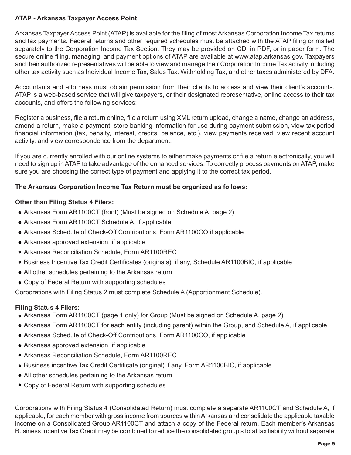#### **ATAP - Arkansas Taxpayer Access Point**

Arkansas Taxpayer Access Point (ATAP) is available for the filing of most Arkansas Corporation Income Tax returns and tax payments. Federal returns and other required schedules must be attached with the ATAP filing or mailed separately to the Corporation Income Tax Section. They may be provided on CD, in PDF, or in paper form. The secure online filing, managing, and payment options of ATAP are available at www.atap.arkansas.gov. Taxpayers and their authorized representatives will be able to view and manage their Corporation Income Tax activity including other tax activity such as Individual Income Tax, Sales Tax. Withholding Tax, and other taxes administered by DFA.

Accountants and attorneys must obtain permission from their clients to access and view their client's accounts. ATAP is a web-based service that will give taxpayers, or their designated representative, online access to their tax accounts, and offers the following services:

Register a business, file a return online, file a return using XML return upload, change a name, change an address, amend a return, make a payment, store banking information for use during payment submission, view tax period financial information (tax, penalty, interest, credits, balance, etc.), view payments received, view recent account activity, and view correspondence from the department.

If you are currently enrolled with our online systems to either make payments or file a return electronically, you will need to sign up in ATAP to take advantage of the enhanced services. To correctly process payments on ATAP, make sure you are choosing the correct type of payment and applying it to the correct tax period.

#### **The Arkansas Corporation Income Tax Return must be organized as follows:**

#### **Other than Filing Status 4 Filers:**

- Arkansas Form AR1100CT (front) (Must be signed on Schedule A, page 2)
- Arkansas Form AR1100CT Schedule A, if applicable
- Arkansas Schedule of Check-Off Contributions, Form AR1100CO if applicable
- Arkansas approved extension, if applicable
- Arkansas Reconciliation Schedule, Form AR1100REC
- Business Incentive Tax Credit Certificates (originals), if any, Schedule AR1100BIC, if applicable
- All other schedules pertaining to the Arkansas return
- Copy of Federal Return with supporting schedules

Corporations with Filing Status 2 must complete Schedule A (Apportionment Schedule).

#### **Filing Status 4 Filers:**

- Arkansas Form AR1100CT (page 1 only) for Group (Must be signed on Schedule A, page 2)
- Arkansas Form AR1100CT for each entity (including parent) within the Group, and Schedule A, if applicable
- Arkansas Schedule of Check-Off Contributions, Form AR1100CO, if applicable
- Arkansas approved extension, if applicable
- Arkansas Reconciliation Schedule, Form AR1100REC
- Business incentive Tax Credit Certificate (original) if any, Form AR1100BIC, if applicable
- All other schedules pertaining to the Arkansas return
- Copy of Federal Return with supporting schedules

Corporations with Filing Status 4 (Consolidated Return) must complete a separate AR1100CT and Schedule A, if applicable, for each member with gross income from sources within Arkansas and consolidate the applicable taxable income on a Consolidated Group AR1100CT and attach a copy of the Federal return. Each member's Arkansas Business Incentive Tax Credit may be combined to reduce the consolidated group's total tax liability without separate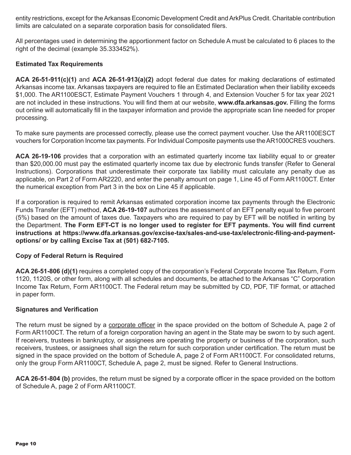entity restrictions, except for the Arkansas Economic Development Credit and ArkPlus Credit. Charitable contribution limits are calculated on a separate corporation basis for consolidated filers.

All percentages used in determining the apportionment factor on Schedule A must be calculated to 6 places to the right of the decimal (example 35.333452%).

#### **Estimated Tax Requirements**

**ACA 26-51-911(c)(1)** and **ACA 26-51-913(a)(2)** adopt federal due dates for making declarations of estimated Arkansas income tax. Arkansas taxpayers are required to file an Estimated Declaration when their liability exceeds \$1,000. The AR1100ESCT, Estimate Payment Vouchers 1 through 4, and Extension Voucher 5 for tax year 2021 are not included in these instructions. You will find them at our website, **www.dfa.arkansas.gov.** Filling the forms out online will automatically fill in the taxpayer information and provide the appropriate scan line needed for proper processing.

To make sure payments are processed correctly, please use the correct payment voucher. Use the AR1100ESCT vouchers for Corporation Income tax payments. For Individual Composite payments use the AR1000CRES vouchers.

**ACA 26-19-106** provides that a corporation with an estimated quarterly income tax liability equal to or greater than \$20,000.00 must pay the estimated quarterly income tax due by electronic funds transfer (Refer to General Instructions). Corporations that underestimate their corporate tax liability must calculate any penalty due as applicable, on Part 2 of Form AR2220, and enter the penalty amount on page 1, Line 45 of Form AR1100CT. Enter the numerical exception from Part 3 in the box on Line 45 if applicable.

If a corporation is required to remit Arkansas estimated corporation income tax payments through the Electronic Funds Transfer (EFT) method, **ACA 26-19-107** authorizes the assessment of an EFT penalty equal to five percent (5%) based on the amount of taxes due. Taxpayers who are required to pay by EFT will be notified in writing by the Department. **The Form EFT-CT is no longer used to register for EFT payments. You will find current instructions at https://www.dfa.arkansas.gov/excise-tax/sales-and-use-tax/electronic-filing-and-paymentoptions/ or by calling Excise Tax at (501) 682-7105.** 

#### **Copy of Federal Return is Required**

**ACA 26-51-806 (d)(1)** requires a completed copy of the corporation's Federal Corporate Income Tax Return, Form 1120, 1120S, or other form, along with all schedules and documents, be attached to the Arkansas "C" Corporation Income Tax Return, Form AR1100CT. The Federal return may be submitted by CD, PDF, TIF format, or attached in paper form.

#### **Signatures and Verification**

The return must be signed by a corporate officer in the space provided on the bottom of Schedule A, page 2 of Form AR1100CT. The return of a foreign corporation having an agent in the State may be sworn to by such agent. If receivers, trustees in bankruptcy, or assignees are operating the property or business of the corporation, such receivers, trustees, or assignees shall sign the return for such corporation under certification. The return must be signed in the space provided on the bottom of Schedule A, page 2 of Form AR1100CT. For consolidated returns, only the group Form AR1100CT, Schedule A, page 2, must be signed. Refer to General Instructions.

**ACA 26-51-804 (b)** provides, the return must be signed by a corporate officer in the space provided on the bottom of Schedule A, page 2 of Form AR1100CT.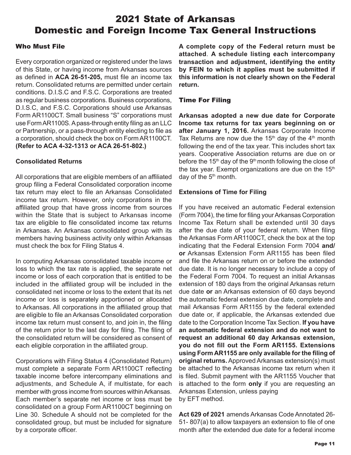# 2021 State of Arkansas Domestic and Foreign Income Tax General Instructions

#### Who Must File

Every corporation organized or registered under the laws of this State, or having income from Arkansas sources as defined in **ACA 26-51-205,** must file an income tax return. Consolidated returns are permitted under certain conditions. D.I.S.C and F.S.C. Corporations are treated as regular business corporations. Business corporations, D.I.S.C, and F.S.C. Corporations should use Arkansas Form AR1100CT. Small business "S" corporations must use Form AR1100S. A pass-through entity filing as an LLC or Partnership, or a pass-through entity electing to file as a corporation, should check the box on Form AR1100CT. **(Refer to ACA 4-32-1313 or ACA 26-51-802.)**

#### **Consolidated Returns**

All corporations that are eligible members of an affiliated group filing a Federal Consolidated corporation income tax return may elect to file an Arkansas Consolidated income tax return. However, only corporations in the affiliated group that have gross income from sources within the State that is subject to Arkansas income tax are eligible to file consolidated income tax returns in Arkansas. An Arkansas consolidated group with its members having business activity only within Arkansas must check the box for Filing Status 4.

In computing Arkansas consolidated taxable income or loss to which the tax rate is applied, the separate net income or loss of each corporation that is entitled to be included in the affiliated group will be included in the consolidated net income or loss to the extent that its net income or loss is separately apportioned or allocated to Arkansas. All corporations in the affiliated group that are eligible to file an Arkansas Consolidated corporation income tax return must consent to, and join in, the filing of the return prior to the last day for filing. The filing of the consolidated return will be considered as consent of each eligible corporation in the affiliated group.

Corporations with Filing Status 4 (Consolidated Return) must complete a separate Form AR1100CT reflecting taxable income before intercompany eliminations and adjustments, and Schedule A, if multistate, for each member with gross income from sources within Arkansas. Each member's separate net income or loss must be consolidated on a group Form AR1100CT beginning on Line 30. Schedule A should not be completed for the consolidated group, but must be included for signature by a corporate officer.

**A complete copy of the Federal return must be attached**. **A schedule listing each intercompany transaction and adjustment, identifying the entity by FEIN to which it applies must be submitted if this information is not clearly shown on the Federal return.**

#### Time For Filing

**Arkansas adopted a new due date for Corporate Income tax returns for tax years beginning on or after January 1, 2016.** Arkansas Corporate Income Tax Returns are now due the  $15<sup>th</sup>$  day of the  $4<sup>th</sup>$  month following the end of the tax year. This includes short tax years. Cooperative Association returns are due on or before the 15<sup>th</sup> day of the 9<sup>th</sup> month following the close of the tax year. Exempt organizations are due on the  $15<sup>th</sup>$ day of the 5<sup>th</sup> month.

#### **Extensions of Time for Filing**

If you have received an automatic Federal extension (Form 7004), the time for filing your Arkansas Corporation Income Tax Return shall be extended until 30 days after the due date of your federal return. When filing the Arkansas Form AR1100CT, check the box at the top indicating that the Federal Extension Form 7004 **and/ or** Arkansas Extension Form AR1155 has been filed and file the Arkansas return on or before the extended due date. It is no longer necessary to include a copy of the Federal Form 7004. To request an initial Arkansas extension of 180 days from the original Arkansas return due date **or** an Arkansas extension of 60 days beyond the automatic federal extension due date, complete and mail Arkansas Form AR1155 by the federal extended due date or, if applicable, the Arkansas extended due date to the Corporation Income Tax Section. **If you have an automatic federal extension and do not want to request an additional 60 day Arkansas extension, you do not fill out the Form AR1155. Extensions using Form AR1155 are only available for the filing of original returns.** Approved Arkansas extension(s) must be attached to the Arkansas income tax return when it is filed. Submit payment with the AR1155 Voucher that is attached to the form **only** if you are requesting an Arkansas Extension, unless paying by EFT method.

**Act 629 of 2021** amends Arkansas Code Annotated 26- 51- 807(a) to allow taxpayers an extension to file of one month after the extended due date for a federal income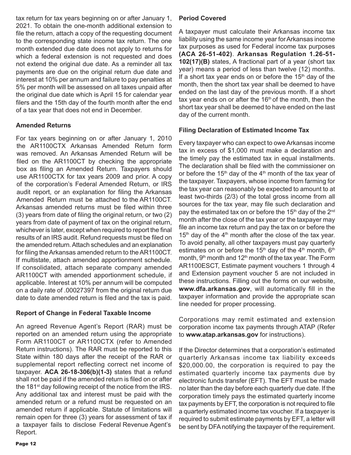tax return for tax years beginning on or after January 1, 2021. To obtain the one-month additional extension to file the return, attach a copy of the requesting document to the corresponding state income tax return. The one month extended due date does not apply to returns for which a federal extension is not requested and does not extend the original due date. As a reminder all tax payments are due on the original return due date and interest at 10% per annum and failure to pay penalties at 5% per month will be assessed on all taxes unpaid after the original due date which is April 15 for calendar year filers and the 15th day of the fourth month after the end of a tax year that does not end in December.

#### **Amended Returns**

For tax years beginning on or after January 1, 2010 the AR1100CTX Arkansas Amended Return form was removed. An Arkansas Amended Return will be filed on the AR1100CT by checking the appropriate box as filing an Amended Return. Taxpayers should use AR1100CTX for tax years 2009 and prior. A copy of the corporation's Federal Amended Return, or IRS audit report, or an explanation for filing the Arkansas Amended Return must be attached to the AR1100CT. Arkansas amended returns must be filed within three (3) years from date of filing the original return, or two (2) years from date of payment of tax on the original return, whichever is later, except when required to report the final results of an IRS audit. Refund requests must be filed on the amended return. Attach schedules and an explanation for filing the Arkansas amended return to the AR1100CT. If multistate, attach amended apportionment schedule. If consolidated, attach separate company amended AR1100CT with amended apportionment schedule, if applicable. Interest at 10% per annum will be computed on a daily rate of .00027397 from the original return due date to date amended return is filed and the tax is paid.

#### **Report of Change in Federal Taxable Income**

An agreed Revenue Agent's Report (RAR) must be reported on an amended return using the appropriate Form AR1100CT or AR1100CTX (refer to Amended Return instructions). The RAR must be reported to this State within 180 days after the receipt of the RAR or supplemental report reflecting correct net income of taxpayer. **ACA 26-18-306(b)(1-3)** states that a refund shall not be paid if the amended return is filed on or after the 181<sup>st</sup> day following receipt of the notice from the IRS. Any additional tax and interest must be paid with the amended return or a refund must be requested on an amended return if applicable. Statute of limitations will remain open for three (3) years for assessment of tax if a taxpayer fails to disclose Federal Revenue Agent's Report.

#### **Period Covered**

A taxpayer must calculate their Arkansas income tax liability using the same income year for Arkansas income tax purposes as used for Federal income tax purposes **(ACA 26-51-402)**. **Arkansas Regulation 1.26-51- 102(17)(B)** states, A fractional part of a year (short tax year) means a period of less than twelve (12) months. If a short tax year ends on or before the  $15<sup>th</sup>$  day of the month, then the short tax year shall be deemed to have ended on the last day of the previous month. If a short tax year ends on or after the  $16<sup>th</sup>$  of the month, then the short tax year shall be deemed to have ended on the last day of the current month.

#### **Filing Declaration of Estimated Income Tax**

Every taxpayer who can expect to owe Arkansas income tax in excess of \$1,000 must make a declaration and the timely pay the estimated tax in equal installments. The declaration shall be filed with the commissioner on or before the 15<sup>th</sup> day of the  $4<sup>th</sup>$  month of the tax year of the taxpayer. Taxpayers, whose income from farming for the tax year can reasonably be expected to amount to at least two-thirds (2/3) of the total gross income from all sources for the tax year, may file such declaration and pay the estimated tax on or before the 15<sup>th</sup> day of the 2<sup>nd</sup> month after the close of the tax year or the taxpayer may file an income tax return and pay the tax on or before the 15<sup>th</sup> day of the 4<sup>th</sup> month after the close of the tax year. To avoid penalty, all other taxpayers must pay quarterly estimates on or before the 15<sup>th</sup> day of the 4<sup>th</sup> month, 6<sup>th</sup> month,  $9<sup>th</sup>$  month and 12<sup>th</sup> month of the tax year. The Form AR1100ESCT, Estimate payment vouchers 1 through 4 and Extension payment voucher 5 are not included in these instructions. Filling out the forms on our website, **www.dfa.arkansas.gov**, will automatically fill in the taxpayer information and provide the appropriate scan line needed for proper processing.

Corporations may remit estimated and extension corporation income tax payments through ATAP (Refer to **www.atap.arkansas.gov** for instructions).

If the Director determines that a corporation's estimated quarterly Arkansas income tax liability exceeds \$20,000.00, the corporation is required to pay the estimated quarterly income tax payments due by electronic funds transfer (EFT). The EFT must be made no later than the day before each quarterly due date. If the corporation timely pays the estimated quarterly income tax payments by EFT, the corporation is not required to file a quarterly estimated income tax voucher. If a taxpayer is required to submit estimate payments by EFT, a letter will be sent by DFA notifying the taxpayer of the requirement.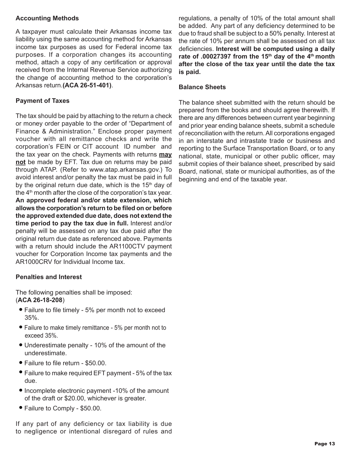#### **Accounting Methods**

A taxpayer must calculate their Arkansas income tax liability using the same accounting method for Arkansas income tax purposes as used for Federal income tax purposes. If a corporation changes its accounting method, attach a copy of any certification or approval received from the Internal Revenue Service authorizing the change of accounting method to the corporation's Arkansas return.**(ACA 26-51-401)**.

#### **Payment of Taxes**

The tax should be paid by attaching to the return a check or money order payable to the order of "Department of Finance & Administration." Enclose proper payment voucher with all remittance checks and write the corporation's FEIN or CIT account ID number and the tax year on the check. Payments with returns **may not** be made by EFT. Tax due on returns may be paid through ATAP. (Refer to www.atap.arkansas.gov.) To avoid interest and/or penalty the tax must be paid in full by the original return due date, which is the 15<sup>th</sup> day of the  $4<sup>th</sup>$  month after the close of the corporation's tax year. **An approved federal and/or state extension, which allows the corporation's return to be filed on or before the approved extended due date, does not extend the time period to pay the tax due in full.** Interest and/or penalty will be assessed on any tax due paid after the original return due date as referenced above. Payments with a return should include the AR1100CTV payment voucher for Corporation Income tax payments and the AR1000CRV for Individual Income tax.

#### **Penalties and Interest**

The following penalties shall be imposed: (**ACA 26-18-208**)

- Failure to file timely 5% per month not to exceed 35%.
- Failure to make timely remittance 5% per month not to exceed 35%.
- Underestimate penalty 10% of the amount of the underestimate.
- Failure to file return \$50.00.
- Failure to make required EFT payment 5% of the tax due.
- Incomplete electronic payment -10% of the amount of the draft or \$20.00, whichever is greater.
- Failure to Comply \$50.00.

If any part of any deficiency or tax liability is due to negligence or intentional disregard of rules and

regulations, a penalty of 10% of the total amount shall be added. Any part of any deficiency determined to be due to fraud shall be subject to a 50% penalty. Interest at the rate of 10% per annum shall be assessed on all tax deficiencies. **Interest will be computed using a daily**  rate of .00027397 from the 15<sup>th</sup> day of the 4<sup>th</sup> month **after the close of the tax year until the date the tax is paid.**

#### **Balance Sheets**

The balance sheet submitted with the return should be prepared from the books and should agree therewith. If there are any differences between current year beginning and prior year ending balance sheets, submit a schedule of reconciliation with the return. All corporations engaged in an interstate and intrastate trade or business and reporting to the Surface Transportation Board, or to any national, state, municipal or other public officer, may submit copies of their balance sheet, prescribed by said Board, national, state or municipal authorities, as of the beginning and end of the taxable year.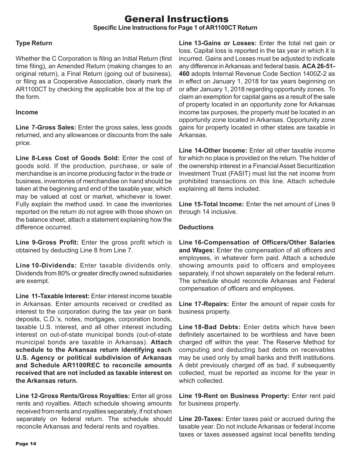### General Instructions **Specific Line Instructions for Page 1 of AR1100CT Return**

#### **Type Return**

Whether the C Corporation is filing an Initial Return (first time filing), an Amended Return (making changes to an original return), a Final Return (going out of business), or filing as a Cooperative Association, clearly mark the AR1100CT by checking the applicable box at the top of the form.

#### **Income**

**Line 7-Gross Sales:** Enter the gross sales, less goods returned, and any allowances or discounts from the sale price.

**Line 8-Less Cost of Goods Sold:** Enter the cost of goods sold. If the production, purchase, or sale of merchandise is an income producing factor in the trade or business, inventories of merchandise on hand should be taken at the beginning and end of the taxable year, which may be valued at cost or market, whichever is lower. Fully explain the method used. In case the inventories reported on the return do not agree with those shown on the balance sheet, attach a statement explaining how the difference occurred.

**Line 9-Gross Profit:** Enter the gross profit which is obtained by deducting Line 8 from Line 7.

**Line 10-Dividends:** Enter taxable dividends only. Dividends from 80% or greater directly owned subsidiaries are exempt.

**Line 11-Taxable Interest:** Enter interest income taxable in Arkansas. Enter amounts received or credited as interest to the corporation during the tax year on bank deposits, C.D.'s, notes, mortgages, corporation bonds, taxable U.S. interest, and all other interest including interest on out-of-state municipal bonds (out-of-state municipal bonds are taxable in Arkansas). **Attach schedule to the Arkansas return identifying each U.S. Agency or political subdivision of Arkansas and Schedule AR1100REC to reconcile amounts received that are not included as taxable interest on the Arkansas return.**

**Line 12-Gross Rents/Gross Royalties:** Enter all gross rents and royalties. Attach schedule showing amounts received from rents and royalties separately, if not shown separately on federal return. The schedule should reconcile Arkansas and federal rents and royalties.

**Line 13-Gains or Losses:** Enter the total net gain or loss. Capital loss is reported in the tax year in which it is incurred. Gains and Losses must be adjusted to indicate any difference in Arkansas and federal basis. **ACA 26-51- 460** adopts Internal Revenue Code Section 1400Z-2 as in effect on January 1, 2018 for tax years beginning on or after January 1, 2018 regarding opportunity zones. To claim an exemption for capital gains as a result of the sale of property located in an opportunity zone for Arkansas income tax purposes, the property must be located in an opportunity zone located in Arkansas. Opportunity zone gains for property located in other states are taxable in Arkansas.

**Line 14-Other Income:** Enter all other taxable income for which no place is provided on the return. The holder of the ownership interest in a Financial Asset Securitization Investment Trust (FASIT) must list the net income from prohibited transactions on this line. Attach schedule explaining all items included.

**Line 15-Total Income:** Enter the net amount of Lines 9 through 14 inclusive.

#### **Deductions**

**Line 16-Compensation of Officers/Other Salaries and Wages:** Enter the compensation of all officers and employees, in whatever form paid. Attach a schedule showing amounts paid to officers and employees separately, if not shown separately on the federal return. The schedule should reconcile Arkansas and Federal compensation of officers and employees.

**Line 17-Repairs:** Enter the amount of repair costs for business property.

**Line 18-Bad Debts:** Enter debts which have been definitely ascertained to be worthless and have been charged off within the year. The Reserve Method for computing and deducting bad debts on receivables may be used only by small banks and thrift institutions. A debt previously charged off as bad, if subsequently collected, must be reported as income for the year in which collected

**Line 19-Rent on Business Property:** Enter rent paid for business property.

**Line 20-Taxes:** Enter taxes paid or accrued during the taxable year. Do not include Arkansas or federal income taxes or taxes assessed against local benefits tending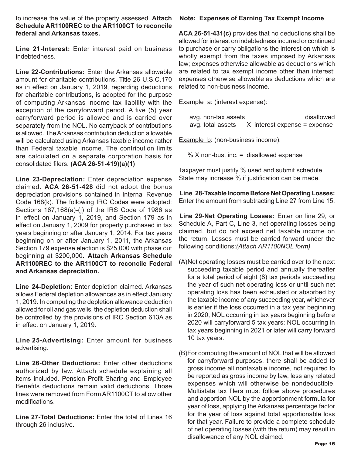to increase the value of the property assessed. **Attach Schedule AR1100REC to the AR1100CT to reconcile federal and Arkansas taxes.**

**Line 21-Interest:** Enter interest paid on business indebtedness.

**Line 22-Contributions:** Enter the Arkansas allowable amount for charitable contributions. Title 26 U.S.C.170 as in effect on January 1, 2019, regarding deductions for charitable contributions, is adopted for the purpose of computing Arkansas income tax liability with the exception of the carryforward period. A five (5) year carryforward period is allowed and is carried over separately from the NOL. No carryback of contributions is allowed. The Arkansas contribution deduction allowable will be calculated using Arkansas taxable income rather than Federal taxable income. The contribution limits are calculated on a separate corporation basis for consolidated filers. **(ACA 26-51-419)(a)(1)**

**Line 23-Depreciation:** Enter depreciation expense claimed. **ACA 26-51-428** did not adopt the bonus depreciation provisions contained in Internal Revenue Code 168(k). The following IRC Codes were adopted: Sections 167,168(a)-(j) of the IRS Code of 1986 as in effect on January 1, 2019, and Section 179 as in effect on January 1, 2009 for property purchased in tax years beginning or after January 1, 2014. For tax years beginning on or after January 1, 2011, the Arkansas Section 179 expense election is \$25,000 with phase out beginning at \$200,000. **Attach Arkansas Schedule AR1100REC to the AR1100CT to reconcile Federal and Arkansas depreciation.**

**Line 24-Depletion:** Enter depletion claimed. Arkansas allows Federal depletion allowances as in effect January 1, 2019. In computing the depletion allowance deduction allowed for oil and gas wells, the depletion deduction shall be controlled by the provisions of IRC Section 613A as in effect on January 1, 2019.

**Line 25-Advertising:** Enter amount for business advertising.

**Line 26-Other Deductions:** Enter other deductions authorized by law. Attach schedule explaining all items included. Pension Profit Sharing and Employee Benefits deductions remain valid deductions. Those lines were removed from Form AR1100CT to allow other modifications.

**Line 27-Total Deductions:** Enter the total of Lines 16 through 26 inclusive.

#### **Note: Expenses of Earning Tax Exempt Income**

**ACA 26-51-431(c)** provides that no deductions shall be allowed for interest on indebtedness incurred or continued to purchase or carry obligations the interest on which is wholly exempt from the taxes imposed by Arkansas law; expenses otherwise allowable as deductions which are related to tax exempt income other than interest; expenses otherwise allowable as deductions which are related to non-business income.

Example a: (interest expense):

| avg. non-tax assets | disallowed                     |
|---------------------|--------------------------------|
| avg. total assets   | $X$ interest expense = expense |

Example b: (non-business income):

% X non-bus. inc. = disallowed expense

Taxpayer must justify % used and submit schedule. State may increase % if justification can be made.

**Line 28-Taxable Income Before Net Operating Losses:** Enter the amount from subtracting Line 27 from Line 15.

**Line 29-Net Operating Losses:** Enter on line 29, or Schedule A, Part C, Line 3, net operating losses being claimed, but do not exceed net taxable income on the return. Losses must be carried forward under the following conditions:*(Attach AR1100NOL form)*

- (A)Net operating losses must be carried over to the next succeeding taxable period and annually thereafter for a total period of eight (8) tax periods succeeding the year of such net operating loss or until such net operating loss has been exhausted or absorbed by the taxable income of any succeeding year, whichever is earlier if the loss occurred in a tax year beginning in 2020, NOL occurring in tax years beginning before 2020 will carryforward 5 tax years; NOL occurring in tax years beginning in 2021 or later will carry forward 10 tax years.
- (B)For computing the amount of NOL that will be allowed for carryforward purposes, there shall be added to gross income all nontaxable income, not required to be reported as gross income by law, less any related expenses which will otherwise be nondeductible. Multistate tax filers must follow above procedures and apportion NOL by the apportionment formula for year of loss, applying the Arkansas percentage factor for the year of loss against total apportionable loss for that year. Failure to provide a complete schedule of net operating losses (with the return) may result in disallowance of any NOL claimed.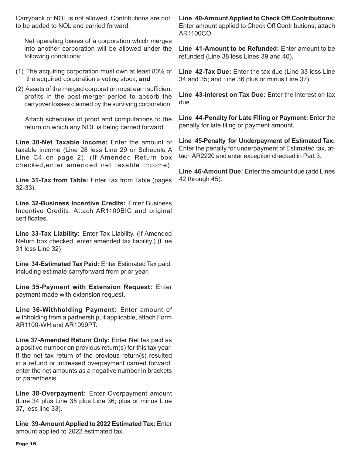Carryback of NOL is not allowed. Contributions are not to be added to NOL and carried forward.

Net operating losses of a corporation which merges into another corporation will be allowed under the following conditions:

- (1) The acquiring corporation must own at least 80% of the acquired corporation's voting stock, **and**
- (2) Assets of the merged corporation must earn sufficient profits in the post-merger period to absorb the carryover losses claimed by the surviving corporation.

 Attach schedules of proof and computations to the return on which any NOL is being carried forward.

**Line 30-Net Taxable Income:** Enter the amount of taxable income (Line 28 less Line 29 or Schedule A Line C4 on page 2). (If Amended Return box checked,enter amended net taxable income).

**Line 31-Tax from Table:** Enter Tax from Table (pages 32-33).

**Line 32-Business Incentive Credits:** Enter Business Incentive Credits. Attach AR1100BIC and original certificates.

**Line 33-Tax Liability:** Enter Tax Liability. (If Amended Return box checked, enter amended tax liability.) (Line 31 less Line 32)

**Line 34-Estimated Tax Paid:** Enter Estimated Tax paid, including estimate carryforward from prior year.

**Line 35-Payment with Extension Request:** Enter payment made with extension request.

**Line 36-Withholding Payment:** Enter amount of withholding from a partnership, if applicable, attach Form AR1100-WH and AR1099PT.

**Line 37-Amended Return Only:** Enter Net tax paid as a positive number on previous return(s) for this tax year. If the net tax return of the previous return(s) resulted in a refund or increased overpayment carried forward, enter the net amounts as a negative number in brackets or parenthesis.

**Line 38-Overpayment:** Enter Overpayment amount (Line 34 plus Line 35 plus Line 36; plus or minus Line 37, less line 33).

**Line 39-Amount Applied to 2022 Estimated Tax:** Enter amount applied to 2022 estimated tax.

**Line 40-Amount Applied to Check Off Contributions:** Enter amount applied to Check Off Contributions; attach AR1100CO.

**Line 41-Amount to be Refunded:** Enter amount to be refunded (Line 38 less Lines 39 and 40).

**Line 42-Tax Due:** Enter the tax due (Line 33 less Line 34 and 35; and Line 36 plus or minus Line 37).

**Line 43-Interest on Tax Due:** Enter the interest on tax due.

**Line 44-Penalty for Late Filing or Payment:** Enter the penalty for late filing or payment amount.

**Line 45-Penalty for Underpayment of Estimated Tax:** Enter the penalty for underpayment of Estimated tax, attach AR2220 and enter exception checked in Part 3.

**Line 46-Amount Due:** Enter the amount due (add Lines 42 through 45).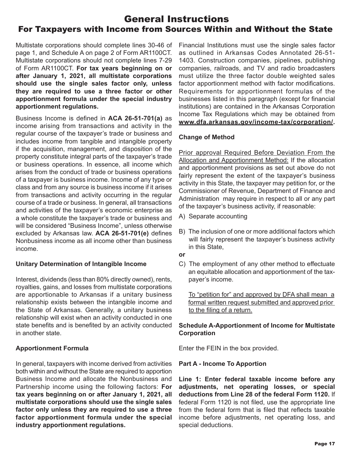## General Instructions For Taxpayers with Income from Sources Within and Without the State

Multistate corporations should complete lines 30-46 of page 1, and Schedule A on page 2 of Form AR1100CT. Multistate corporations should not complete lines 7-29 of Form AR1100CT. **For tax years beginning on or after January 1, 2021, all multistate corporations should use the single sales factor only, unless they are required to use a three factor or other apportionment formula under the special industry apportionment regulations.**

Business Income is defined in **ACA 26-51-701(a)** as income arising from transactions and activity in the regular course of the taxpayer's trade or business and includes income from tangible and intangible property if the acquisition, management, and disposition of the property constitute integral parts of the taxpayer's trade or business operations. In essence, all income which arises from the conduct of trade or business operations of a taxpayer is business income. Income of any type or class and from any source is business income if it arises from transactions and activity occurring in the regular course of a trade or business. In general, all transactions and activities of the taxpayer's economic enterprise as a whole constitute the taxpayer's trade or business and will be considered "Business Income", unless otherwise excluded by Arkansas law. **ACA 26-51-701(e)** defines Nonbusiness income as all income other than business income.

#### **Unitary Determination of Intangible Income**

Interest, dividends (less than 80% directly owned), rents, royalties, gains, and losses from multistate corporations are apportionable to Arkansas if a unitary business relationship exists between the intangible income and the State of Arkansas. Generally, a unitary business relationship will exist when an activity conducted in one state benefits and is benefited by an activity conducted in another state.

#### **Apportionment Formula**

In general, taxpayers with income derived from activities both within and without the State are required to apportion Business Income and allocate the Nonbusiness and Partnership income using the following factors: **For tax years beginning on or after January 1, 2021, all multistate corporations should use the single sales factor only unless they are required to use a three factor apportionment formula under the special industry apportionment regulations.**

Financial Institutions must use the single sales factor as outlined in Arkansas Codes Annotated 26-51- 1403. Construction companies, pipelines, publishing companies, railroads, and TV and radio broadcasters must utilize the three factor double weighted sales factor apportionment method with factor modifications. Requirements for apportionment formulas of the businesses listed in this paragraph (except for financial institutions) are contained in the Arkansas Corporation Income Tax Regulations which may be obtained from **www.dfa.arkansas.gov/income-tax/corporation/.**

#### **Change of Method**

Prior approval Required Before Deviation From the Allocation and Apportionment Method: If the allocation and apportionment provisions as set out above do not fairly represent the extent of the taxpayer's business activity in this State, the taxpayer may petition for, or the Commissioner of Revenue, Department of Finance and Administration may require in respect to all or any part of the taxpayer's business activity, if reasonable:

- A) Separate accounting
- B) The inclusion of one or more additional factors which will fairly represent the taxpayer's business activity in this State,
- **or**
- C) The employment of any other method to effectuate an equitable allocation and apportionment of the tax payer's income.

To "petition for" and approved by DFA shall mean a formal written request submitted and approved prior to the filing of a return.

#### **Schedule A-Apportionment of Income for Multistate Corporation**

Enter the FEIN in the box provided.

#### **Part A - Income To Apportion**

**Line 1: Enter federal taxable income before any adjustments, net operating losses, or special deductions from Line 28 of the federal Form 1120.** If federal Form 1120 is not filed, use the appropriate line from the federal form that is filed that reflects taxable income before adjustments, net operating loss, and special deductions.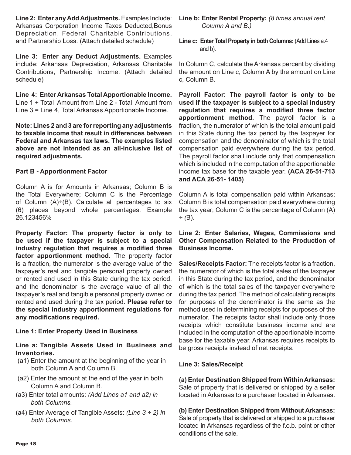**Line 2: Enter any Add Adjustments.** Examples Include: Arkansas Corporation Income Taxes Deducted,Bonus Depreciation, Federal Charitable Contributions, and Partnership Loss. (Attach detailed schedule)

**Line 3: Enter any Deduct Adjustments.** Examples include: Arkansas Depreciation, Arkansas Charitable Contributions, Partnership Income. (Attach detailed schedule)

**Line 4: Enter Arkansas Total Apportionable Income.** Line 1 + Total Amount from Line 2 - Total Amount from Line 3 = Line 4, Total Arkansas Apportionable Income.

**Note: Lines 2 and 3 are for reporting any adjustments to taxable income that result in differences between Federal and Arkansas tax laws. The examples listed above are not intended as an all-inclusive list of required adjustments.**

#### **Part B - Apportionment Factor**

Column A is for Amounts in Arkansas; Column B is the Total Everywhere; Column C is the Percentage of Column  $(A) \div (B)$ . Calculate all percentages to six (6) places beyond whole percentages. Example 26.123456%

**Property Factor: The property factor is only to be used if the taxpayer is subject to a special industry regulation that requires a modified three factor apportionment method.** The property factor is a fraction, the numerator is the average value of the taxpayer's real and tangible personal property owned or rented and used in this State during the tax period, and the denominator is the average value of all the taxpayer's real and tangible personal property owned or rented and used during the tax period. **Please refer to the special industry apportionment regulations for any modifications required.** 

#### **Line 1: Enter Property Used in Business**

**Line a: Tangible Assets Used in Business and Inventories.**

- (a1) Enter the amount at the beginning of the year in both Column A and Column B.
- (a2) Enter the amount at the end of the year in both Column A and Column B.
- (a3) Enter total amounts: *(Add Lines a1 and a2) in both Columns.*
- (a4) Enter Average of Tangible Assets: *(Line 3 ÷ 2) in both Columns.*

**Line b: Enter Rental Property:** *(8 times annual rent Column A and B.)*

**Line c: Enter Total Property in both Columns: (Add Lines a.4)** and b).

In Column C, calculate the Arkansas percent by dividing the amount on Line c, Column A by the amount on Line c, Column B.

**Payroll Factor: The payroll factor is only to be used if the taxpayer is subject to a special industry regulation that requires a modified three factor apportionment method.** The payroll factor is a fraction, the numerator of which is the total amount paid in this State during the tax period by the taxpayer for compensation and the denominator of which is the total compensation paid everywhere during the tax period. The payroll factor shall include only that compensation which is included in the computation of the apportionable income tax base for the taxable year. **(ACA 26-51-713 and ACA 26-51- 1405)** 

Column A is total compensation paid within Arkansas; Column B is total compensation paid everywhere during the tax year; Column C is the percentage of Column (A) *÷ (*B).

#### **Line 2: Enter Salaries, Wages, Commissions and Other Compensation Related to the Production of Business Income.**

**Sales/Receipts Factor:** The receipts factor is a fraction, the numerator of which is the total sales of the taxpayer in this State during the tax period, and the denominator of which is the total sales of the taxpayer everywhere during the tax period. The method of calculating receipts for purposes of the denominator is the same as the method used in determining receipts for purposes of the numerator. The receipts factor shall include only those receipts which constitute business income and are included in the computation of the apportionable income base for the taxable year. Arkansas requires receipts to be gross receipts instead of net receipts.

#### **Line 3: Sales/Receipt**

**(a) Enter Destination Shipped from Within Arkansas:**  Sale of property that is delivered or shipped by a seller located in Arkansas to a purchaser located in Arkansas.

#### **(b) Enter Destination Shipped from Without Arkansas:**

Sale of property that is delivered or shipped to a purchaser located in Arkansas regardless of the f.o.b. point or other conditions of the sale.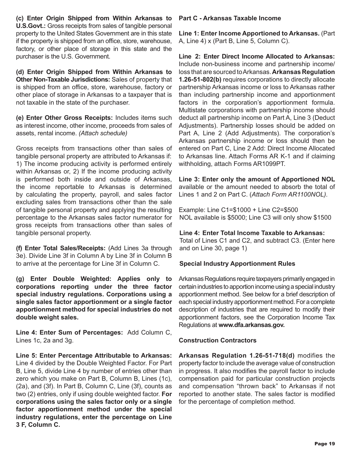**(c) Enter Origin Shipped from Within Arkansas to U.S.Govt.:** Gross receipts from sales of tangible personal property to the United States Government are in this state if the property is shipped from an office, store, warehouse, factory, or other place of storage in this state and the purchaser is the U.S. Government.

**(d) Enter Origin Shipped from Within Arkansas to Other Non-Taxable Jurisdictions:** Sales of property that is shipped from an office, store, warehouse, factory or other place of storage in Arkansas to a taxpayer that is not taxable in the state of the purchaser.

**(e) Enter Other Gross Receipts:** Includes items such as interest income, other income, proceeds from sales of assets, rental income. *(Attach schedule)*

Gross receipts from transactions other than sales of tangible personal property are attributed to Arkansas if: 1) The income producing activity is performed entirely within Arkansas or, 2) If the income producing activity is performed both inside and outside of Arkansas, the income reportable to Arkansas is determined by calculating the property, payroll, and sales factor excluding sales from transactions other than the sale of tangible personal property and applying the resulting percentage to the Arkansas sales factor numerator for gross receipts from transactions other than sales of tangible personal property.

**(f) Enter Total Sales/Receipts:** (Add Lines 3a through 3e). Divide Line 3f in Column A by Line 3f in Column B to arrive at the percentage for Line 3f in Column C.

**(g) Enter Double Weighted: Applies only to corporations reporting under the three factor special industry regulations. Corporations using a single sales factor apportionment or a single factor apportionment method for special industries do not double weight sales.**

**Line 4: Enter Sum of Percentages:** Add Column C, Lines 1c, 2a and 3g.

**Line 5: Enter Percentage Attributable to Arkansas:** Line 4 divided by the Double Weighted Factor. For Part B, Line 5, divide Line 4 by number of entries other than zero which you make on Part B, Column B, Lines (1c), (2a), and (3f). In Part B, Column C, Line (3f), counts as two (2) entries, only if using double weighted factor. **For corporations using the sales factor only or a single factor apportionment method under the special industry regulations, enter the percentage on Line 3 F, Column C.** 

#### **Part C - Arkansas Taxable Income**

**Line 1: Enter Income Apportioned to Arkansas.** (Part A, Line 4) x (Part B, Line 5, Column C).

**Line 2: Enter Direct Income Allocated to Arkansas:**  Include non-business income and partnership income/ loss that are sourced to Arkansas. **Arkansas Regulation 1.26-51-802(b)** requires corporations to directly allocate partnership Arkansas income or loss to Arkansas rather than including partnership income and apportionment factors in the corporation's apportionment formula. Multistate corporations with partnership income should deduct all partnership income on Part A, Line 3 (Deduct Adjustments). Partnership losses should be added on Part A, Line 2 (Add Adjustments). The corporation's Arkansas partnership income or loss should then be entered on Part C, Line 2 Add: Direct Income Allocated to Arkansas line. Attach Forms AR K-1 and if claiming withholding, attach Forms AR1099PT.

**Line 3: Enter only the amount of Apportioned NOL**  available or the amount needed to absorb the total of Lines 1 and 2 on Part C. (*Attach Form AR1100NOL).*

Example: Line C1=\$1000 + Line C2=\$500 NOL available is \$5000; Line C3 will only show \$1500

#### **Line 4: Enter Total Income Taxable to Arkansas:**

Total of Lines C1 and C2, and subtract C3. (Enter here and on Line 30, page 1)

#### **Special Industry Apportionment Rules**

Arkansas Regulations require taxpayers primarily engaged in certain industries to apportion income using a special industry apportionment method. See below for a brief description of each special industry apportionment method. For a complete description of industries that are required to modify their apportionment factors, see the Corporation Income Tax Regulations at **www.dfa.arkansas.gov.**

#### **Construction Contractors**

**Arkansas Regulation 1.26-51-718(d)** modifies the property factor to include the average value of construction in progress. It also modifies the payroll factor to include compensation paid for particular construction projects and compensation "thrown back" to Arkansas if not reported to another state. The sales factor is modified for the percentage of completion method.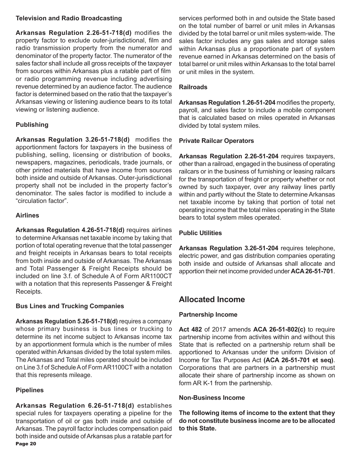#### **Television and Radio Broadcasting**

**Arkansas Regulation 2.26-51-718(d)** modifies the property factor to exclude outer-jurisdictional, film and radio transmission property from the numerator and denominator of the property factor. The numerator of the sales factor shall include all gross receipts of the taxpayer from sources within Arkansas plus a ratable part of film or radio programming revenue including advertising revenue determined by an audience factor. The audience factor is determined based on the ratio that the taxpayer's Arkansas viewing or listening audience bears to its total viewing or listening audience.

#### **Publishing**

**Arkansas Regulation 3.26-51-718(d)** modifies the apportionment factors for taxpayers in the business of publishing, selling, licensing or distribution of books, newspapers, magazines, periodicals, trade journals, or other printed materials that have income from sources both inside and outside of Arkansas. Outer-jurisdictional property shall not be included in the property factor's denominator. The sales factor is modified to include a "circulation factor".

#### **Airlines**

**Arkansas Regulation 4.26-51-718(d)** requires airlines to determine Arkansas net taxable income by taking that portion of total operating revenue that the total passenger and freight receipts in Arkansas bears to total receipts from both inside and outside of Arkansas. The Arkansas and Total Passenger & Freight Receipts should be included on line 3.f. of Schedule A of Form AR1100CT with a notation that this represents Passenger & Freight Receipts.

#### **Bus Lines and Trucking Companies**

**Arkansas Regulation 5.26-51-718(d)** requires a company whose primary business is bus lines or trucking to determine its net income subject to Arkansas income tax by an apportionment formula which is the number of miles operated within Arkansas divided by the total system miles. The Arkansas and Total miles operated should be included on Line 3.f of Schedule A of Form AR1100CT with a notation that this represents mileage.

#### **Pipelines**

Page 20 **Arkansas Regulation 6.26-51-718(d)** establishes special rules for taxpayers operating a pipeline for the transportation of oil or gas both inside and outside of Arkansas. The payroll factor includes compensation paid both inside and outside of Arkansas plus a ratable part for services performed both in and outside the State based on the total number of barrel or unit miles in Arkansas divided by the total barrel or unit miles system-wide. The sales factor includes any gas sales and storage sales within Arkansas plus a proportionate part of system revenue earned in Arkansas determined on the basis of total barrel or unit miles within Arkansas to the total barrel or unit miles in the system.

#### **Railroads**

**Arkansas Regulation 1.26-51-204** modifies the property, payroll, and sales factor to include a mobile component that is calculated based on miles operated in Arkansas divided by total system miles.

#### **Private Railcar Operators**

**Arkansas Regulation 2.26-51-204** requires taxpayers, other than a railroad, engaged in the business of operating railcars or in the business of furnishing or leasing railcars for the transportation of freight or property whether or not owned by such taxpayer, over any railway lines partly within and partly without the State to determine Arkansas net taxable income by taking that portion of total net operating income that the total miles operating in the State bears to total system miles operated.

#### **Public Utilities**

**Arkansas Regulation 3.26-51-204** requires telephone, electric power, and gas distribution companies operating both inside and outside of Arkansas shall allocate and apportion their net income provided under **ACA 26-51-701**.

## **Allocated Income**

#### **Partnership Income**

**Act 482** of 2017 amends **ACA 26-51-802(c)** to require partnership income from activites within and without this State that is reflected on a partnership return shall be apportioned to Arkansas under the uniform Division of Income for Tax Purposes Act **(ACA 26-51-701 et seq)**. Corporations that are partners in a partnership must allocate their share of partnership income as shown on form AR K-1 from the partnership.

#### **Non-Business Income**

**The following items of income to the extent that they do not constitute business income are to be allocated to this State.**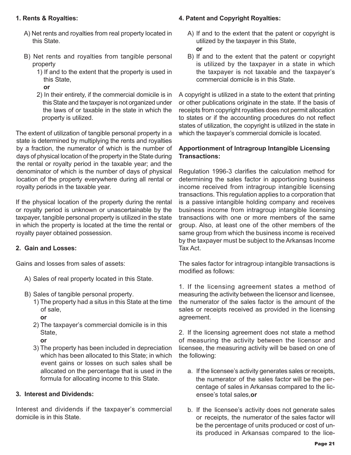#### **1. Rents & Royalties:**

- A) Net rents and royalties from real property located in this State.
- B) Net rents and royalties from tangible personal property
	- 1) If and to the extent that the property is used in this State,
		- **or**
	- 2) In their entirety, if the commercial domicile is in this State and the taxpayer is not organized under the laws of or taxable in the state in which the property is utilized.

The extent of utilization of tangible personal property in a state is determined by multiplying the rents and royalties by a fraction, the numerator of which is the number of days of physical location of the property in the State during the rental or royalty period in the taxable year; and the denominator of which is the number of days of physical location of the property everywhere during all rental or royalty periods in the taxable year.

If the physical location of the property during the rental or royalty period is unknown or unascertainable by the taxpayer, tangible personal property is utilized in the state in which the property is located at the time the rental or royalty payer obtained possession.

#### **2. Gain and Losses:**

Gains and losses from sales of assets:

- A) Sales of real property located in this State.
- B) Sales of tangible personal property.
	- 1) The property had a situs in this State at the time of sale,
		- **or**
	- 2) The taxpayer's commercial domicile is in this State,
		- **or**
	- 3) The property has been included in depreciation which has been allocated to this State; in which event gains or losses on such sales shall be allocated on the percentage that is used in the formula for allocating income to this State.

#### **3. Interest and Dividends:**

Interest and dividends if the taxpayer's commercial domicile is in this State.

#### **4. Patent and Copyright Royalties:**

- A) If and to the extent that the patent or copyright is utilized by the taxpayer in this State, **or**
- B) If and to the extent that the patent or copyright is utilized by the taxpayer in a state in which the taxpayer is not taxable and the taxpayer's commercial domicile is in this State.

A copyright is utilized in a state to the extent that printing or other publications originate in the state. If the basis of receipts from copyright royalties does not permit allocation to states or if the accounting procedures do not reflect states of utilization, the copyright is utilized in the state in which the taxpayer's commercial domicile is located.

#### **Apportionment of Intragroup Intangible Licensing Transactions:**

Regulation 1996-3 clarifies the calculation method for determining the sales factor in apportioning business income received from intragroup intangible licensing transactions. This regulation applies to a corporation that is a passive intangible holding company and receives business income from intragroup intangible licensing transactions with one or more members of the same group. Also, at least one of the other members of the same group from which the business income is received by the taxpayer must be subject to the Arkansas Income Tax Act.

The sales factor for intragroup intangible transactions is modified as follows:

1. If the licensing agreement states a method of measuring the activity between the licensor and licensee, the numerator of the sales factor is the amount of the sales or receipts received as provided in the licensing agreement.

2. If the licensing agreement does not state a method of measuring the activity between the licensor and licensee, the measuring activity will be based on one of the following:

- a. If the licensee's activity generates sales or receipts, the numerator of the sales factor will be the per centage of sales in Arkansas compared to the lic ensee's total sales,**or**
- b. If the licensee's activity does not generate sales or receipts, the numerator of the sales factor will be the percentage of units produced or cost of un its produced in Arkansas compared to the lice-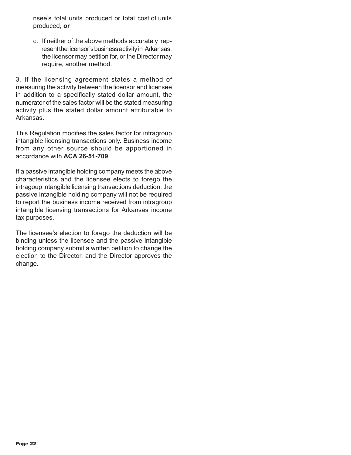nsee's total units produced or total cost of units produced, **or**

 c. If neither of the above methods accurately rep resent the licensor's business activity in Arkansas, the licensor may petition for, or the Director may require, another method.

3. If the licensing agreement states a method of measuring the activity between the licensor and licensee in addition to a specifically stated dollar amount, the numerator of the sales factor will be the stated measuring activity plus the stated dollar amount attributable to Arkansas.

This Regulation modifies the sales factor for intragroup intangible licensing transactions only. Business income from any other source should be apportioned in accordance with **ACA 26-51-709**.

If a passive intangible holding company meets the above characteristics and the licensee elects to forego the intragoup intangible licensing transactions deduction, the passive intangible holding company will not be required to report the business income received from intragroup intangible licensing transactions for Arkansas income tax purposes.

The licensee's election to forego the deduction will be binding unless the licensee and the passive intangible holding company submit a written petition to change the election to the Director, and the Director approves the change.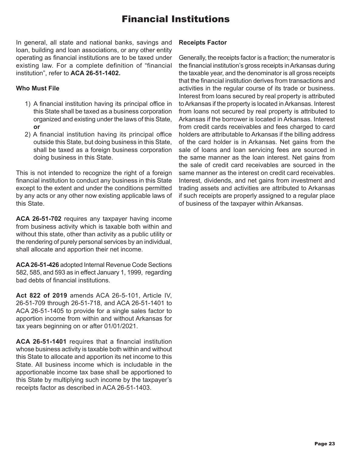# Financial Institutions

In general, all state and national banks, savings and loan, building and loan associations, or any other entity operating as financial institutions are to be taxed under existing law. For a complete definition of "financial institution", refer to **ACA 26-51-1402.**

#### **Who Must File**

- 1) A financial institution having its principal office in this State shall be taxed as a business corporation organized and existing under the laws of this State, **or**
- 2) A financial institution having its principal office outside this State, but doing business in this State, shall be taxed as a foreign business corporation doing business in this State.

This is not intended to recognize the right of a foreign financial institution to conduct any business in this State except to the extent and under the conditions permitted by any acts or any other now existing applicable laws of this State.

**ACA 26-51-702** requires any taxpayer having income from business activity which is taxable both within and without this state, other than activity as a public utility or the rendering of purely personal services by an individual, shall allocate and apportion their net income.

**ACA 26-51-426** adopted Internal Revenue Code Sections 582, 585, and 593 as in effect January 1, 1999, regarding bad debts of financial institutions.

**Act 822 of 2019** amends ACA 26-5-101, Article IV, 26-51-709 through 26-51-718, and ACA 26-51-1401 to ACA 26-51-1405 to provide for a single sales factor to apportion income from within and without Arkansas for tax years beginning on or after 01/01/2021.

**ACA 26-51-1401** requires that a financial institution whose business activity is taxable both within and without this State to allocate and apportion its net income to this State. All business income which is includable in the apportionable income tax base shall be apportioned to this State by multiplying such income by the taxpayer's receipts factor as described in ACA 26-51-1403.

#### **Receipts Factor**

Generally, the receipts factor is a fraction; the numerator is the financial institution's gross receipts in Arkansas during the taxable year, and the denominator is all gross receipts that the financial institution derives from transactions and activities in the regular course of its trade or business. Interest from loans secured by real property is attributed to Arkansas if the property is located in Arkansas. Interest from loans not secured by real property is attributed to Arkansas if the borrower is located in Arkansas. Interest from credit cards receivables and fees charged to card holders are attributable to Arkansas if the billing address of the card holder is in Arkansas. Net gains from the sale of loans and loan servicing fees are sourced in the same manner as the loan interest. Net gains from the sale of credit card receivables are sourced in the same manner as the interest on credit card receivables. Interest, dividends, and net gains from investment and trading assets and activities are attributed to Arkansas if such receipts are properly assigned to a regular place of business of the taxpayer within Arkansas.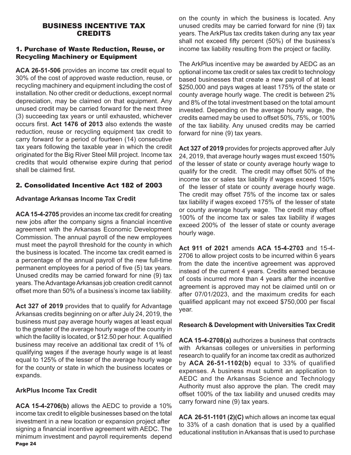#### BUSINESS INCENTIVE TAX CREDITS

#### 1. Purchase of Waste Reduction, Reuse, or Recycling Machinery or Equipment

**ACA 26-51-506** provides an income tax credit equal to 30% of the cost of approved waste reduction, reuse, or recycling machinery and equipment including the cost of installation. No other credit or deductions, except normal depreciation, may be claimed on that equipment. Any unused credit may be carried forward for the next three (3) succeeding tax years or until exhausted, whichever occurs first. **Act 1476 of 2013** also extends the waste reduction, reuse or recycling equipment tax credit to carry forward for a period of fourteen (14) consecutive tax years following the taxable year in which the credit originated for the Big River Steel Mill project. Income tax credits that would otherwise expire during that period shall be claimed first.

#### 2. Consolidated Incentive Act 182 of 2003

#### **Advantage Arkansas Income Tax Credit**

**ACA 15-4-2705** provides an income tax credit for creating new jobs after the company signs a financial incentive agreement with the Arkansas Economic Development Commission. The annual payroll of the new employees must meet the payroll threshold for the county in which the business is located. The income tax credit earned is a percentage of the annual payroll of the new full-time permanent employees for a period of five (5) tax years. Unused credits may be carried forward for nine (9) tax years. The Advantage Arkansas job creation credit cannot offset more than 50% of a business's income tax liability.

**Act 327 of 2019** provides that to qualify for Advantage Arkansas credits beginning on or after July 24, 2019, the business must pay average hourly wages at least equal to the greater of the average hourly wage of the county in which the facility is located, or \$12.50 per hour. A qualified business may receive an additional tax credit of 1% of qualifying wages if the average hourly wage is at least equal to 125% of the lesser of the average hourly wage for the county or state in which the business locates or expands.

#### **ArkPlus Income Tax Credit**

Page 24 **ACA 15-4-2706(b)** allows the AEDC to provide a 10% income tax credit to eligible businesses based on the total investment in a new location or expansion project after signing a financial incentive agreement with AEDC. The minimum investment and payroll requirements depend on the county in which the business is located. Any unused credits may be carried forward for nine (9) tax years. The ArkPlus tax credits taken during any tax year shall not exceed fifty percent (50%) of the business's income tax liability resulting from the project or facility.

The ArkPlus incentive may be awarded by AEDC as an optional income tax credit or sales tax credit to technology based businesses that create a new payroll of at least \$250,000 and pays wages at least 175% of the state or county average hourly wage. The credit is between 2% and 8% of the total investment based on the total amount invested. Depending on the average hourly wage, the credits earned may be used to offset 50%, 75%, or 100% of the tax liability. Any unused credits may be carried forward for nine (9) tax years.

**Act 327 of 2019** provides for projects approved after July 24, 2019, that average hourly wages must exceed 150% of the lesser of state or county average hourly wage to qualify for the credit. The credit may offset 50% of the income tax or sales tax liability if wages exceed 150% of the lesser of state or county average hourly wage. The credit may offset 75% of the income tax or sales tax liability if wages exceed 175% of the lesser of state or county average hourly wage. The credit may offset 100% of the income tax or sales tax liability if wages exceed 200% of the lesser of state or county average hourly wage.

**Act 911 of 2021** amends **ACA 15-4-2703** and 15-4- 2706 to allow project costs to be incurred within 6 years from the date the incentive agreement was approved instead of the current 4 years. Credits earned because of costs incurred more than 4 years after the incentive agreement is approved may not be claimed until on or after 07/01/2023, and the maximum credits for each qualified applicant may not exceed \$750,000 per fiscal year.

#### **Research & Development with Universities Tax Credit**

**ACA 15-4-2708(a)** authorizes a business that contracts with Arkansas colleges or universities in performing research to qualify for an income tax credit as authorized by **ACA 26-51-1102(b)** equal to 33% of qualified expenses. A business must submit an application to AEDC and the Arkansas Science and Technology Authority must also approve the plan. The credit may offset 100% of the tax liability and unused credits may carry forward nine (9) tax years.

**ACA 26-51-1101 (2)(C)** which allows an income tax equal to 33% of a cash donation that is used by a qualified educational institution in Arkansas that is used to purchase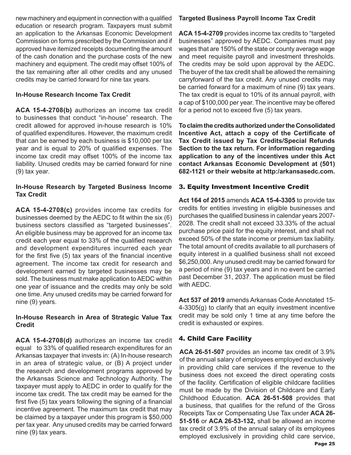new machinery and equipment in connection with a qualified education or research program. Taxpayers must submit an application to the Arkansas Economic Development Commission on forms prescribed by the Commission and if approved have itemized receipts documenting the amount of the cash donation and the purchase costs of the new machinery and equipment. The credit may offset 100% of the tax remaining after all other credits and any unused credits may be carried forward for nine tax years.

#### **In-House Research Income Tax Credit**

**ACA 15-4-2708(b)** authorizes an income tax credit to businesses that conduct "in-house" research. The credit allowed for approved in-house research is 10% of qualified expenditures. However, the maximum credit that can be earned by each business is \$10,000 per tax year and is equal to 20% of qualified expenses. The income tax credit may offset 100% of the income tax liability. Unused credits may be carried forward for nine (9) tax year.

#### **In-House Research by Targeted Business Income Tax Credit**

**ACA 15-4-2708(c)** provides income tax credits for businesses deemed by the AEDC to fit within the six (6) business sectors classified as "targeted businesses". An eligible business may be approved for an income tax credit each year equal to 33% of the qualified research and development expenditures incurred each year for the first five (5) tax years of the financial incentive agreement. The income tax credit for research and development earned by targeted businesses may be sold. The business must make application to AEDC within one year of issuance and the credits may only be sold one time. Any unused credits may be carried forward for nine (9) years.

#### **In-House Research in Area of Strategic Value Tax Credit**

**ACA 15-4-2708(d)** authorizes an income tax credit equal to 33% of qualified research expenditures for an Arkansas taxpayer that invests in: (A) In-house research in an area of strategic value, or (B) A project under the research and development programs approved by the Arkansas Science and Technology Authority. The taxpayer must apply to AEDC in order to qualify for the income tax credit. The tax credit may be earned for the first five (5) tax years following the signing of a financial incentive agreement. The maximum tax credit that may be claimed by a taxpayer under this program is \$50,000 per tax year. Any unused credits may be carried forward nine (9) tax years.

#### **Targeted Business Payroll Income Tax Credit**

**ACA 15-4-2709** provides income tax credits to "targeted businesses" approved by AEDC. Companies must pay wages that are 150% of the state or county average wage and meet requisite payroll and investment thresholds. The credits may be sold upon approval by the AEDC. The buyer of the tax credit shall be allowed the remaining carryforward of the tax credit. Any unused credits may be carried forward for a maximum of nine (9) tax years. The tax credit is equal to 10% of its annual payroll, with a cap of \$100,000 per year. The incentive may be offered for a period not to exceed five (5) tax years.

**To claim the credits authorized under the Consolidated Incentive Act, attach a copy of the Certificate of Tax Credit issued by Tax Credits/Special Refunds Section to the tax return. For information regarding application to any of the incentives under this Act contact Arkansas Economic Development at (501) 682-1121 or their website at http:/arkansasedc.com.** 

#### 3. Equity Investment Incentive Credit

**Act 164 of 2015** amends **ACA 15-4-3305** to provide tax credits for entities investing in eligible businesses and purchases the qualified business in calendar years 2007- 2028. The credit shall not exceed 33.33% of the actual purchase price paid for the equity interest, and shall not exceed 50% of the state income or premium tax liability. The total amount of credits available to all purchasers of equity interest in a qualified business shall not exceed \$6,250,000. Any unused credit may be carried forward for a period of nine (9) tax years and in no event be carried past December 31, 2037. The application must be filed with AEDC.

**Act 537 of 2019** amends Arkansas Code Annotated 15- 4-3305(g) to clarify that an equity investment incentive credit may be sold only 1 time at any time before the credit is exhausted or expires.

#### 4. Child Care Facility

**ACA 26-51-507** provides an income tax credit of 3.9% of the annual salary of employees employed exclusively in providing child care services if the revenue to the business does not exceed the direct operating costs of the facility. Certification of eligible childcare facilities must be made by the Division of Childcare and Early Childhood Education. **ACA 26-51-508** provides that a business, that qualifies for the refund of the Gross Receipts Tax or Compensating Use Tax under **ACA 26- 51-516** or **ACA 26-53-132,** shall be allowed an income tax credit of 3.9% of the annual salary of its employees employed exclusively in providing child care service,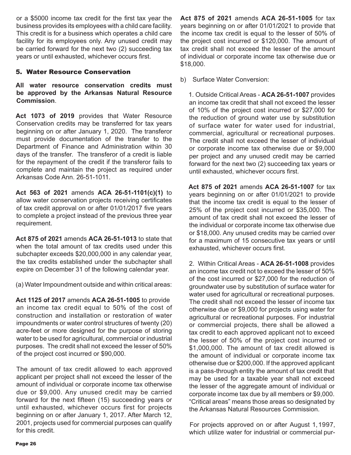or a \$5000 income tax credit for the first tax year the business provides its employees with a child care facility. This credit is for a business which operates a child care facility for its employees only. Any unused credit may be carried forward for the next two (2) succeeding tax years or until exhausted, whichever occurs first.

#### 5. Water Resource Conservation

**All water resource conservation credits must be approved by the Arkansas Natural Resource Commission**.

**Act 1073 of 2019** provides that Water Resource Conservation credits may be transferred for tax years beginning on or after January 1, 2020. The transferor must provide documentation of the transfer to the Department of Finance and Administration within 30 days of the transfer. The transferor of a credit is liable for the repayment of the credit if the transferor fails to complete and maintain the project as required under Arkansas Code Ann. 26-51-1011.

**Act 563 of 2021** amends **ACA 26-51-1101(c)(1)** to allow water conservation projects receiving certificates of tax credit approval on or after 01/01/2017 five years to complete a project instead of the previous three year requirement.

**Act 875 of 2021** amends **ACA 26-51-1013** to state that when the total amount of tax credits used under this subchapter exceeds \$20,000,000 in any calendar year, the tax credits established under the subchapter shall expire on December 31 of the following calendar year.

(a) Water Impoundment outside and within critical areas:

**Act 1125 of 2017** amends **ACA 26-51-1005** to provide an income tax credit equal to 50% of the cost of construction and installation or restoration of water impoundments or water control structures of twenty (20) acre-feet or more designed for the purpose of storing water to be used for agricultural, commercial or industrial purposes. The credit shall not exceed the lesser of 50% of the project cost incurred or \$90,000.

The amount of tax credit allowed to each approved applicant per project shall not exceed the lesser of the amount of individual or corporate income tax otherwise due or \$9,000. Any unused credit may be carried forward for the next fifteen (15) succeeding years or until exhausted, whichever occurs first for projects beginning on or after January 1, 2017. After March 12, 2001, projects used for commercial purposes can qualify for this credit.

**Act 875 of 2021** amends **ACA 26-51-1005** for tax years beginning on or after 01/01/2021 to provide that the income tax credit is equal to the lesser of 50% of the project cost incurred or \$120,000. The amount of tax credit shall not exceed the lesser of the amount of individual or corporate income tax otherwise due or \$18,000.

b) Surface Water Conversion:

1. Outside Critical Areas - **ACA 26-51-1007** provides an income tax credit that shall not exceed the lesser of 10% of the project cost incurred or \$27,000 for the reduction of ground water use by substitution of surface water for water used for industrial, commercial, agricultural or recreational purposes. The credit shall not exceed the lesser of individual or corporate income tax otherwise due or \$9,000 per project and any unused credit may be carried forward for the next two (2) succeeding tax years or until exhausted, whichever occurs first.

**Act 875 of 2021** amends **ACA 26-51-1007** for tax years beginning on or after 01/01/2021 to provide that the income tax credit is equal to the lesser of 25% of the project cost incurred or \$35,000. The amount of tax credit shall not exceed the lesser of the individual or corporate income tax otherwise due or \$18,000. Any unused credits may be carried over for a maximum of 15 consecutive tax years or until exhausted, whichever occurs first.

2. Within Critical Areas - **ACA 26-51-1008** provides an income tax credit not to exceed the lesser of 50% of the cost incurred or \$27,000 for the reduction of groundwater use by substitution of surface water for water used for agricultural or recreational purposes. The credit shall not exceed the lesser of income tax otherwise due or \$9,000 for projects using water for agricultural or recreational purposes. For industrial or commercial projects, there shall be allowed a tax credit to each approved applicant not to exceed the lesser of 50% of the project cost incurred or \$1,000,000. The amount of tax credit allowed is the amount of individual or corporate income tax otherwise due or \$200,000. If the approved applicant is a pass-through entity the amount of tax credit that may be used for a taxable year shall not exceed the lesser of the aggregate amount of individual or corporate income tax due by all members or \$9,000. "Critical areas" means those areas so designated by the Arkansas Natural Resources Commission.

 For projects approved on or after August 1,1997, which utilize water for industrial or commercial pur-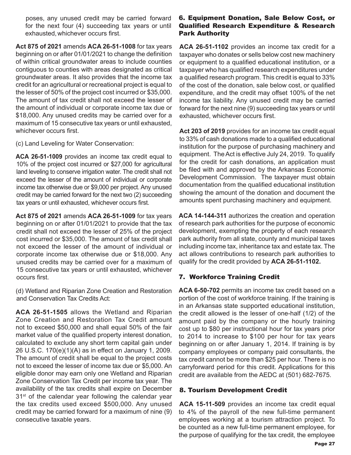poses, any unused credit may be carried forward for the next four (4) succeeding tax years or until exhausted, whichever occurs first.

**Act 875 of 2021** amends **ACA 26-51-1008** for tax years beginning on or after 01/01/2021 to change the definition of within critical groundwater areas to include counties contiguous to counties with areas designated as critical groundwater areas. It also provides that the income tax credit for an agricultural or recreational project is equal to the lesser of 50% of the project cost incurred or \$35,000. The amount of tax credit shall not exceed the lesser of the amount of individual or corporate income tax due or \$18,000. Any unused credits may be carried over for a maximum of 15 consecutive tax years or until exhausted, whichever occurs first.

(c) Land Leveling for Water Conservation:

**ACA 26-51-1009** provides an income tax credit equal to 10% of the project cost incurred or \$27,000 for agricultural land leveling to conserve irrigation water. The credit shall not exceed the lesser of the amount of individual or corporate income tax otherwise due or \$9,000 per project. Any unused credit may be carried forward for the next two (2) succeeding tax years or until exhausted, whichever occurs first.

**Act 875 of 2021** amends **ACA 26-51-1009** for tax years beginning on or after 01/01/2021 to provide that the tax credit shall not exceed the lesser of 25% of the project cost incurred or \$35,000. The amount of tax credit shall not exceed the lesser of the amount of individual or corporate income tax otherwise due or \$18,000. Any unused credits may be carried over for a maximum of 15 consecutive tax years or until exhausted, whichever occurs first.

(d) Wetland and Riparian Zone Creation and Restoration and Conservation Tax Credits Act:

**ACA 26-51-1505** allows the Wetland and Riparian Zone Creation and Restoration Tax Credit amount not to exceed \$50,000 and shall equal 50% of the fair market value of the qualified property interest donation, calculated to exclude any short term capital gain under 26 U.S.C. 170(e)(1)(A) as in effect on January 1, 2009. The amount of credit shall be equal to the project costs not to exceed the lesser of income tax due or \$5,000. An eligible donor may earn only one Wetland and Riparian Zone Conservation Tax Credit per income tax year. The availability of the tax credits shall expire on December 31<sup>st</sup> of the calendar year following the calendar year the tax credits used exceed \$500,000. Any unused credit may be carried forward for a maximum of nine (9) consecutive taxable years.

#### 6. Equipment Donation, Sale Below Cost, or Qualified Research Expenditure & Research Park Authority

**ACA 26-51-1102** provides an income tax credit for a taxpayer who donates or sells below cost new machinery or equipment to a qualified educational institution, or a taxpayer who has qualified research expenditures under a qualified research program. This credit is equal to 33% of the cost of the donation, sale below cost, or qualified expenditure, and the credit may offset 100% of the net income tax liability. Any unused credit may be carried forward for the next nine (9) succeeding tax years or until exhausted, whichever occurs first.

**Act 203 of 2019** provides for an income tax credit equal to 33% of cash donations made to a qualified educational institution for the purpose of purchasing machinery and equipment. The Act is effective July 24, 2019. To qualify for the credit for cash donations, an application must be filed with and approved by the Arkansas Economic Development Commission. The taxpayer must obtain documentation from the qualified educational institution showing the amount of the donation and document the amounts spent purchasing machinery and equipment.

**ACA 14-144-311** authorizes the creation and operation of research park authorities for the purpose of economic development, exempting the property of each research park authority from all state, county and municipal taxes including income tax, inheritance tax and estate tax. The act allows contributions to research park authorities to qualify for the credit provided by **ACA 26-51-1102.** 

#### 7. Workforce Training Credit

**ACA 6-50-702** permits an income tax credit based on a portion of the cost of workforce training. If the training is in an Arkansas state supported educational institution, the credit allowed is the lesser of one-half (1/2) of the amount paid by the company or the hourly training cost up to \$80 per instructional hour for tax years prior to 2014 to increase to \$100 per hour for tax years beginning on or after January 1, 2014. If training is by company employees or company paid consultants, the tax credit cannot be more than \$25 per hour. There is no carryforward period for this credit. Applications for this credit are available from the AEDC at (501) 682-7675.

#### 8. Tourism Development Credit

**ACA 15-11-509** provides an income tax credit equal to 4% of the payroll of the new full-time permanent employees working at a tourism attraction project. To be counted as a new full-time permanent employee, for the purpose of qualifying for the tax credit, the employee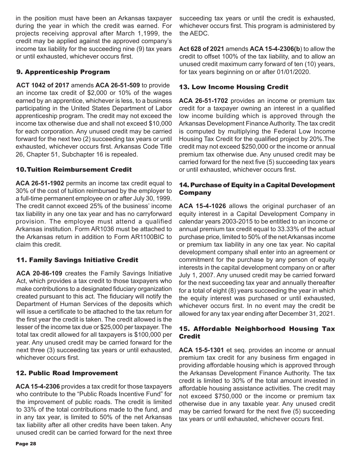in the position must have been an Arkansas taxpayer during the year in which the credit was earned. For projects receiving approval after March 1,1999, the credit may be applied against the approved company's income tax liability for the succeeding nine (9) tax years or until exhausted, whichever occurs first.

#### 9. Apprenticeship Program

**ACT 1042 of 2017** amends **ACA 26-51-509** to provide an income tax credit of \$2,000 or 10% of the wages earned by an apprentice, whichever is less, to a business participating in the United States Department of Labor apprenticeship program. The credit may not exceed the income tax otherwise due and shall not exceed \$10,000 for each corporation. Any unused credit may be carried forward for the next two (2) succeeding tax years or until exhausted, whichever occurs first. Arkansas Code Title 26, Chapter 51, Subchapter 16 is repealed.

#### 10.Tuition Reimbursement Credit

**ACA 26-51-1902** permits an income tax credit equal to 30% of the cost of tuition reimbursed by the employer to a full-time permanent employee on or after July 30, 1999. The credit cannot exceed 25% of the business' income tax liability in any one tax year and has no carryforward provision. The employee must attend a qualified Arkansas institution. Form AR1036 must be attached to the Arkansas return in addition to Form AR1100BIC to claim this credit.

#### 11. Family Savings Initiative Credit

**ACA 20-86-109** creates the Family Savings Initiative Act, which provides a tax credit to those taxpayers who make contributions to a designated fiduciary organization created pursuant to this act. The fiduciary will notify the Department of Human Services of the deposits which will issue a certificate to be attached to the tax return for the first year the credit is taken. The credit allowed is the lesser of the income tax due or \$25,000 per taxpayer. The total tax credit allowed for all taxpayers is \$100,000 per year. Any unused credit may be carried forward for the next three (3) succeeding tax years or until exhausted, whichever occurs first.

#### 12. Public Road Improvement

**ACA 15-4-2306** provides a tax credit for those taxpayers who contribute to the "Public Roads Incentive Fund" for the improvement of public roads. The credit is limited to 33% of the total contributions made to the fund, and in any tax year, is limited to 50% of the net Arkansas tax liability after all other credits have been taken. Any unused credit can be carried forward for the next three

succeeding tax years or until the credit is exhausted, whichever occurs first. This program is administered by the AEDC.

**Act 628 of 2021** amends **ACA 15-4-2306(b**) to allow the credit to offset 100% of the tax liability, and to allow an unused credit maximum carry forward of ten (10) years, for tax years beginning on or after 01/01/2020.

#### 13. Low Income Housing Credit

**ACA 26-51-1702** provides an income or premium tax credit for a taxpayer owning an interest in a qualified low income building which is approved through the Arkansas Development Finance Authority. The tax credit is computed by multiplying the Federal Low Income Housing Tax Credit for the qualified project by 20%.The credit may not exceed \$250,000 or the income or annual premium tax otherwise due. Any unused credit may be carried forward for the next five (5) succeeding tax years or until exhausted, whichever occurs first.

#### 14. Purchase of Equity in a Capital Development Company

**ACA 15-4-1026** allows the original purchaser of an equity interest in a Capital Development Company in calendar years 2003-2015 to be entitled to an income or annual premium tax credit equal to 33.33% of the actual purchase price, limited to 50% of the net Arkansas income or premium tax liability in any one tax year. No capital development company shall enter into an agreement or commitment for the purchase by any person of equity interests in the capital development company on or after July 1, 2007. Any unused credit may be carried forward for the next succeeding tax year and annually thereafter for a total of eight (8) years succeeding the year in which the equity interest was purchased or until exhausted, whichever occurs first. In no event may the credit be allowed for any tax year ending after December 31, 2021.

#### 15. Affordable Neighborhood Housing Tax Credit

**ACA 15-5-1301** et seq. provides an income or annual premium tax credit for any business firm engaged in providing affordable housing which is approved through the Arkansas Development Finance Authority. The tax credit is limited to 30% of the total amount invested in affordable housing assistance activities. The credit may not exceed \$750,000 or the income or premium tax otherwise due in any taxable year. Any unused credit may be carried forward for the next five (5) succeeding tax years or until exhausted, whichever occurs first.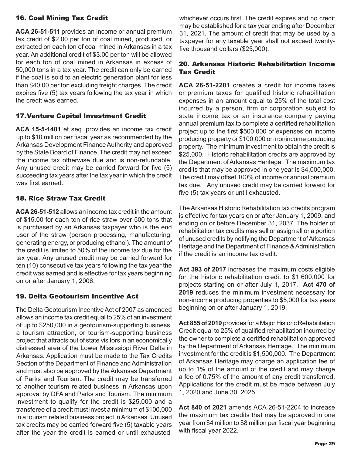#### 16. Coal Mining Tax Credit

**ACA 26-51-511** provides an income or annual premium tax credit of \$2.00 per ton of coal mined, produced, or extracted on each ton of coal mined in Arkansas in a tax year. An additional credit of \$3.00 per ton will be allowed for each ton of coal mined in Arkansas in excess of 50,000 tons in a tax year. The credit can only be earned if the coal is sold to an electric generation plant for less than \$40.00 per ton excluding freight charges. The credit expires five (5) tax years following the tax year in which the credit was earned.

#### 17.Venture Capital Investment Credit

**ACA 15-5-1401** et seq. provides an income tax credit up to \$10 million per fiscal year as recommended by the Arkansas Development Finance Authority and approved by the State Board of Finance. The credit may not exceed the income tax otherwise due and is non-refundable. Any unused credit may be carried forward for five (5) succeeding tax years after the tax year in which the credit was first earned.

#### 18. Rice Straw Tax Credit

**ACA 26-51-512** allows an income tax credit in the amount of \$15.00 for each ton of rice straw over 500 tons that is purchased by an Arkansas taxpayer who is the end user of the straw (person processing, manufacturing, generating energy, or producing ethanol). The amount of the credit is limited to 50% of the income tax due for the tax year. Any unused credit may be carried forward for ten (10) consecutive tax years following the tax year the credit was earned and is effective for tax years beginning on or after January 1, 2006.

#### 19. Delta Geotourism Incentive Act

The Delta Geotourism Incentive Act of 2007 as amended allows an income tax credit equal to 25% of an investment of up to \$250,000 in a geotourism-supporting business, a tourism attraction, or tourism-supporting business project that attracts out of state visitors in an economically distressed area of the Lower Mississippi River Delta in Arkansas. Application must be made to the Tax Credits Section of the Department of Finance and Administration and must also be approved by the Arkansas Department of Parks and Tourism. The credit may be transferred to another tourism related business in Arkansas upon approval by DFA and Parks and Tourism. The minimum investment to qualify for the credit is \$25,000 and a transferee of a credit must invest a minimum of \$100,000 in a tourism related business project in Arkansas. Unused tax credits may be carried forward five (5) taxable years after the year the credit is earned or until exhausted,

whichever occurs first. The credit expires and no credit may be established for a tax year ending after December 31, 2021. The amount of credit that may be used by a taxpayer for any taxable year shall not exceed twentyfive thousand dollars (\$25,000).

#### 20. Arkansas Historic Rehabilitation Income Tax Credit

**ACA 26-51-2201** creates a credit for income taxes or premium taxes for qualified historic rehabilitation expenses in an amount equal to 25% of the total cost incurred by a person, firm or corporation subject to state income tax or an insurance company paying annual premium tax to complete a certified rehabilitation project up to the first \$500,000 of expenses on income producing property or \$100,000 on nonincome producing property. The minimum investment to obtain the credit is \$25,000. Historic rehabilitation credits are approved by the Department of Arkansas Heritage. The maximum tax credits that may be approved in one year is \$4,000,000. The credit may offset 100% of income or annual premium tax due. Any unused credit may be carried forward for five (5) tax years or until exhausted.

The Arkansas Historic Rehabilitation tax credits program is effective for tax years on or after January 1, 2009, and ending on or before December 31, 2037. The holder of rehabilitation tax credits may sell or assign all or a portion of unused credits by notifying the Department of Arkansas Heritage and the Department of Finance & Administration if the credit is an income tax credit.

**Act 393 of 2017** increases the maximum costs eligible for the historic rehabilitation credit to \$1,600,000 for projects starting on or after July 1, 2017. **Act 470 of 2019** reduces the minimum investment necessary for non-income producing properties to \$5,000 for tax years beginning on or after January 1, 2019.

**Act 855 of 2019** provides for a Major Historic Rehabilitation Credit equal to 25% of qualified rehabilitation incurred by the owner to complete a certified rehabilitation approved by the Department of Arkansas Heritage. The minimum investment for the credit is \$1,500,000. The Department of Arkansas Heritage may charge an application fee of up to 1% of the amount of the credit and may charge a fee of 0.75% of the amount of any credit transferred. Applications for the credit must be made between July 1, 2020 and June 30, 2025.

**Act 840 of 2021** amends ACA 26-51-2204 to increase the maximum tax credits that may be approved in one year from \$4 million to \$8 million per fiscal year beginning with fiscal year 2022.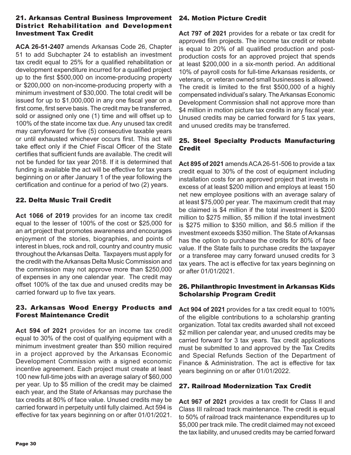#### 21. Arkansas Central Business Improvement District Rehabilitation and Development Investment Tax Credit

**ACA 26-51-2407** amends Arkansas Code 26, Chapter 51 to add Subchapter 24 to establish an investment tax credit equal to 25% for a qualified rehabilitation or development expenditure incurred for a qualified project up to the first \$500,000 on income-producing property or \$200,000 on non-income-producing property with a minimum investment of \$30,000. The total credit will be issued for up to \$1,000,000 in any one fiscal year on a first come, first serve basis. The credit may be transferred, sold or assigned only one (1) time and will offset up to 100% of the state income tax due. Any unused tax credit may carryforward for five (5) consecutive taxable years or until exhausted whichever occurs first. This act will take effect only if the Chief Fiscal Officer of the State certifies that sufficient funds are available. The credit will not be funded for tax year 2018. If it is determined that funding is available the act will be effective for tax years beginning on or after January 1 of the year following the certification and continue for a period of two (2) years.

#### 22. Delta Music Trail Credit

**Act 1066 of 2019** provides for an income tax credit equal to the lesser of 100% of the cost or \$25,000 for an art project that promotes awareness and encourages enjoyment of the stories, biographies, and points of interest in blues, rock and roll, country and country music throughout the Arkansas Delta. Taxpayers must apply for the credit with the Arkansas Delta Music Commission and the commission may not approve more than \$250,000 of expenses in any one calendar year. The credit may offset 100% of the tax due and unused credits may be carried forward up to five tax years.

#### 23. Arkansas Wood Energy Products and Forest Maintenance Credit

**Act 594 of 2021** provides for an income tax credit equal to 30% of the cost of qualifying equipment with a minimum investment greater than \$50 million required in a project approved by the Arkansas Economic Development Commission with a signed economic incentive agreement. Each project must create at least 100 new full-time jobs with an average salary of \$60,000 per year. Up to \$5 million of the credit may be claimed each year, and the State of Arkansas may purchase the tax credits at 80% of face value. Unused credits may be carried forward in perpetuity until fully claimed. Act 594 is effective for tax years beginning on or after 01/01/2021.

#### 24. Motion Picture Credit

**Act 797 of 2021** provides for a rebate or tax credit for approved film projects. The income tax credit or rebate is equal to 20% of all qualified production and postproduction costs for an approved project that spends at least \$200,000 in a six-month period. An additional 10% of payroll costs for full-time Arkansas residents, or veterans, or veteran owned small businesses is allowed. The credit is limited to the first \$500,000 of a highly compensated individual's salary. The Arkansas Economic Development Commission shall not approve more than \$4 million in motion picture tax credits in any fiscal year. Unused credits may be carried forward for 5 tax years, and unused credits may be transferred.

#### 25. Steel Specialty Products Manufacturing **Credit**

**Act 895 of 2021** amends ACA 26-51-506 to provide a tax credit equal to 30% of the cost of equipment including installation costs for an approved project that invests in excess of at least \$200 million and employs at least 150 net new employee positions with an average salary of at least \$75,000 per year. The maximum credit that may be claimed is \$4 million if the total investment is \$200 million to \$275 million, \$5 million if the total investment is \$275 million to \$350 million, and \$6.5 million if the investment exceeds \$350 million. The State of Arkansas has the option to purchase the credits for 80% of face value. If the State fails to purchase credits the taxpayer or a transferee may carry forward unused credits for 3 tax years. The act is effective for tax years beginning on or after 01/01/2021.

#### 26. Philanthropic Investment in Arkansas Kids Scholarship Program Credit

**Act 904 of 2021** provides for a tax credit equal to 100% of the eligible contributions to a scholarship granting organization. Total tax credits awarded shall not exceed \$2 million per calendar year, and unused credits may be carried forward for 3 tax years. Tax credit applications must be submitted to and approved by the Tax Credits and Special Refunds Section of the Department of Finance & Administration. The act is effective for tax years beginning on or after 01/01/2022.

#### 27. Railroad Modernization Tax Credit

**Act 967 of 2021** provides a tax credit for Class II and Class III railroad track maintenance. The credit is equal to 50% of railroad track maintenance expenditures up to \$5,000 per track mile. The credit claimed may not exceed the tax liability, and unused credits may be carried forward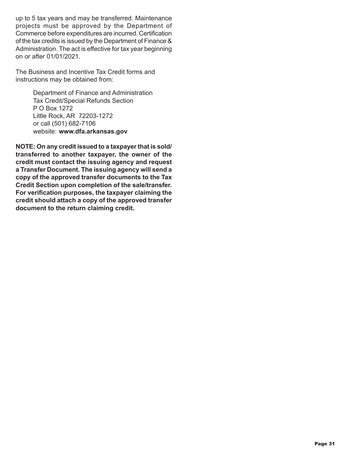up to 5 tax years and may be transferred. Maintenance projects must be approved by the Department of Commerce before expenditures are incurred. Certification of the tax credits is issued by the Department of Finance & Administration. The act is effective for tax year beginning on or after 01/01/2021.

The Business and Incentive Tax Credit forms and instructions may be obtained from:

> Department of Finance and Administration Tax Credit/Special Refunds Section P O Box 1272 Little Rock, AR 72203-1272 or call (501) 682-7106 website: **www.dfa.arkansas.gov**

**NOTE: On any credit issued to a taxpayer that is sold/ transferred to another taxpayer, the owner of the credit must contact the issuing agency and request a Transfer Document. The issuing agency will send a copy of the approved transfer documents to the Tax Credit Section upon completion of the sale/transfer. For verification purposes, the taxpayer claiming the credit should attach a copy of the approved transfer document to the return claiming credit.**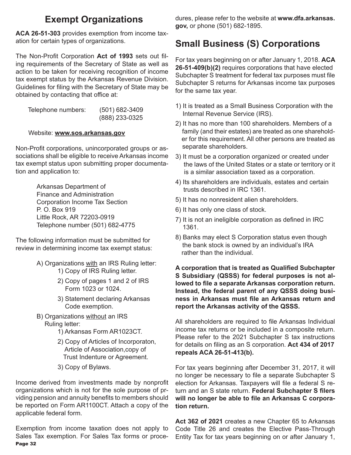# **Exempt Organizations**

**ACA 26-51-303** provides exemption from income taxation for certain types of organizations.

The Non-Profit Corporation **Act of 1993** sets out filing requirements of the Secretary of State as well as action to be taken for receiving recognition of income tax exempt status by the Arkansas Revenue Division. Guidelines for filing with the Secretary of State may be obtained by contacting that office at:

| Telephone numbers: | $(501)$ 682-3409 |
|--------------------|------------------|
|                    | (888) 233-0325   |

#### Website: **www.sos.arkansas.gov**

Non-Profit corporations, unincorporated groups or associations shall be eligible to receive Arkansas income tax exempt status upon submitting proper documentation and application to:

> Arkansas Department of Finance and Administration Corporation Income Tax Section P. O. Box 919 Little Rock, AR 72203-0919 Telephone number (501) 682-4775

The following information must be submitted for review in determining income tax exempt status:

- A) Organizations with an IRS Ruling letter: 1) Copy of IRS Ruling letter.
	- 2) Copy of pages 1 and 2 of IRS Form 1023 or 1024.
	- 3) Statement declaring Arkansas Code exemption.
- B) Organizations without an IRS Ruling letter:
	- 1) Arkansas Form AR1023CT.
	- 2) Copy of Articles of Incorporaton, Article of Association,copy of Trust Indenture or Agreement.
	- 3) Copy of Bylaws.

Income derived from investments made by nonprofit organizations which is not for the sole purpose of prviding pension and annuity benefits to members should be reported on Form AR1100CT. Attach a copy of the applicable federal form.

Page 32 Exemption from income taxation does not apply to Sales Tax exemption. For Sales Tax forms or procedures, please refer to the website at **www.dfa.arkansas. gov,** or phone (501) 682-1895.

# **Small Business (S) Corporations**

For tax years beginning on or after January 1, 2018. **ACA 26-51-409(b)(2)** requires corporations that have elected Subchapter S treatment for federal tax purposes must file Subchapter S returns for Arkansas income tax purposes for the same tax year.

- 1) It is treated as a Small Business Corporation with the Internal Revenue Service (IRS).
- 2) It has no more than 100 shareholders. Members of a family (and their estates) are treated as one sharehold er for this requirement. All other persons are treated as separate shareholders.
- 3) It must be a corporation organized or created under the laws of the United States or a state or territory or it is a similar association taxed as a corporation.
- 4) Its shareholders are individuals, estates and certain trusts described in IRC 1361.
- 5) It has no nonresident alien shareholders.
- 6) It has only one class of stock.
- 7) It is not an ineligible corporation as defined in IRC 1361.
- 8) Banks may elect S Corporation status even though the bank stock is owned by an individual's IRA rather than the individual.

**A corporation that is treated as Qualified Subchapter S Subsidiary (QSSS) for federal purposes is not allowed to file a separate Arkansas corporation return. Instead, the federal parent of any QSSS doing business in Arkansas must file an Arkansas return and report the Arkansas activity of the QSSS.**

All shareholders are required to file Arkansas Individual income tax returns or be included in a composite return. Please refer to the 2021 Subchapter S tax instructions for details on filing as an S corporation. **Act 434 of 2017 repeals ACA 26-51-413(b).**

For tax years beginning after December 31, 2017, it will no longer be necessary to file a separate Subchapter S election for Arkansas. Taxpayers will file a federal S return and an S state return. **Federal Subchapter S filers will no longer be able to file an Arkansas C corporation return.**

**Act 362 of 2021** creates a new Chapter 65 to Arkansas Code Title 26 and creates the Elective Pass-Through Entity Tax for tax years beginning on or after January 1,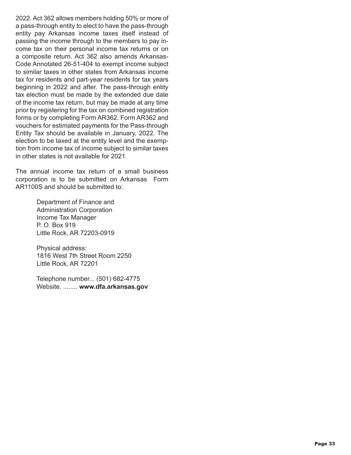2022. Act 362 allows members holding 50% or more of a pass-through entity to elect to have the pass-through entity pay Arkansas income taxes itself instead of passing the income through to the members to pay income tax on their personal income tax returns or on a composite return. Act 362 also amends Arkansas-Code Annotated 26-51-404 to exempt income subject to similar taxes in other states from Arkansas income tax for residents and part-year residents for tax years beginning in 2022 and after. The pass-through entity tax election must be made by the extended due date of the income tax return, but may be made at any time prior by registering for the tax on combined registration forms or by completing Form AR362. Form AR362 and vouchers for estimated payments for the Pass-through Entity Tax should be available in January, 2022. The election to be taxed at the entity level and the exemption from income tax of income subject to similar taxes in other states is not available for 2021.

The annual income tax return of a small business corporation is to be submitted on Arkansas Form AR1100S and should be submitted to:

> Department of Finance and Administration Corporation Income Tax Manager P. O. Box 919 Little Rock, AR 72203-0919

Physical address: 1816 West 7th Street Room 2250 Little Rock, AR 72201

Telephone number... (501) 682-4775 Website. ........ **www.dfa.arkansas.gov**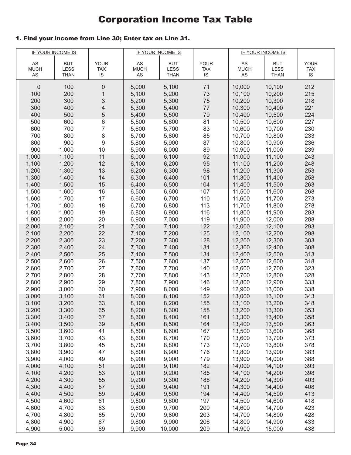# Corporation Income Tax Table

#### 1. Find your income from Line 30; Enter tax on Line 31.

|                   | IF YOUR INCOME IS  |                           |                              | <b>IF YOUR INCOME IS</b> |                           | <b>IF YOUR INCOME IS</b> |                    |                           |
|-------------------|--------------------|---------------------------|------------------------------|--------------------------|---------------------------|--------------------------|--------------------|---------------------------|
|                   |                    |                           |                              |                          |                           |                          |                    |                           |
| AS<br><b>MUCH</b> | <b>BUT</b><br>LESS | <b>YOUR</b><br><b>TAX</b> | $\mathsf{AS}$<br><b>MUCH</b> | <b>BUT</b><br>LESS       | <b>YOUR</b><br><b>TAX</b> | AS<br><b>MUCH</b>        | <b>BUT</b><br>LESS | <b>YOUR</b><br><b>TAX</b> |
| AS                | THAN               | IS                        | AS                           | <b>THAN</b>              | <b>IS</b>                 | AS                       | <b>THAN</b>        | IS                        |
|                   |                    |                           |                              |                          |                           |                          |                    |                           |
| $\theta$          | 100                | $\mathbf 0$               | 5,000                        | 5,100                    | 71                        | 10,000                   | 10,100             | 212                       |
| 100               | 200                | 1                         | 5,100                        | 5,200                    | 73                        | 10,100                   | 10,200             | 215                       |
| 200               | 300                | 3                         | 5,200                        | 5,300                    | 75                        | 10,200                   | 10,300             | 218                       |
| 300               | 400                | 4                         | 5,300                        | 5,400                    | 77                        | 10,300                   | 10,400             | 221                       |
| 400               | 500                | 5                         | 5,400                        | 5,500                    | 79                        | 10,400                   | 10,500             | 224                       |
| 500               | 600<br>700         | $\,6$<br>7                | 5,500                        | 5,600                    | 81                        | 10,500<br>10,600         | 10,600             | 227<br>230                |
| 600<br>700        | 800                | 8                         | 5,600<br>5,700               | 5,700<br>5,800           | 83<br>85                  | 10,700                   | 10,700<br>10,800   | 233                       |
| 800               | 900                | 9                         | 5,800                        | 5,900                    | 87                        | 10,800                   | 10,900             | 236                       |
| 900               | 1,000              | 10                        | 5,900                        | 6,000                    | 89                        | 10,900                   | 11,000             | 239                       |
| 1,000             | 1,100              | 11                        | 6,000                        | 6,100                    | 92                        | 11,000                   | 11,100             | 243                       |
| 1,100             | 1,200              | 12                        | 6,100                        | 6,200                    | 95                        | 11,100                   | 11,200             | 248                       |
| 1,200             | 1,300              | 13                        | 6,200                        | 6,300                    | 98                        | 11,200                   | 11,300             | 253                       |
| 1,300             | 1,400              | 14                        | 6,300                        | 6,400                    | 101                       | 11,300                   | 11,400             | 258                       |
| 1,400             | 1,500              | 15                        | 6,400                        | 6,500                    | 104                       | 11,400                   | 11,500             | 263                       |
| 1,500             | 1,600              | 16                        | 6,500                        | 6,600                    | 107                       | 11,500                   | 11,600             | 268                       |
| 1,600             | 1,700              | 17                        | 6,600                        | 6,700                    | 110                       | 11,600                   | 11,700             | 273                       |
| 1,700             | 1,800              | 18                        | 6,700                        | 6,800                    | 113                       | 11,700                   | 11,800             | 278                       |
| 1,800             | 1,900              | 19                        | 6,800                        | 6,900                    | 116                       | 11,800                   | 11,900             | 283                       |
| 1,900             | 2,000              | 20                        | 6,900                        | 7,000                    | 119                       | 11,900                   | 12,000             | 288                       |
| 2,000             | 2,100              | 21                        | 7,000                        | 7,100                    | 122                       | 12,000                   | 12,100             | 293                       |
| 2,100             | 2,200              | 22                        | 7,100                        | 7,200                    | 125                       | 12,100                   | 12,200             | 298                       |
| 2,200             | 2,300              | 23                        | 7,200                        | 7,300                    | 128                       | 12,200                   | 12,300             | 303                       |
| 2,300             | 2,400              | 24                        | 7,300                        | 7,400                    | 131                       | 12,300                   | 12,400             | 308                       |
| 2,400             | 2,500              | 25                        | 7,400                        | 7,500                    | 134                       | 12,400                   | 12,500             | 313                       |
| 2,500             | 2,600              | 26                        | 7,500                        | 7,600                    | 137                       | 12,500                   | 12,600             | 318                       |
| 2,600             | 2,700              | 27                        | 7,600                        | 7,700                    | 140                       | 12,600                   | 12,700             | 323                       |
| 2,700             | 2,800              | 28                        | 7,700                        | 7,800                    | 143                       | 12,700                   | 12,800             | 328                       |
| 2,800             | 2,900              | 29                        | 7,800                        | 7,900                    | 146                       | 12,800                   | 12,900             | 333                       |
| 2,900             | 3,000              | 30                        | 7,900                        | 8,000                    | 149                       | 12,900                   | 13,000             | 338                       |
| 3,000             | 3,100              | 31                        | 8,000                        | 8,100                    | 152                       | 13,000                   | 13,100             | 343                       |
| 3,100             | 3,200              | 33                        | 8,100                        | 8,200                    | 155                       | 13,100                   | 13,200             | 348                       |
| 3,200             | 3,300              | 35                        | 8,200                        | 8,300                    | 158                       | 13,200                   | 13,300             | 353                       |
| 3,300             | 3,400              | 37                        | 8,300                        | 8,400                    | 161                       | 13,300                   | 13,400             | 358                       |
| 3,400             | 3,500              | 39                        | 8,400                        | 8,500                    | 164                       | 13,400                   | 13,500             | 363                       |
| 3,500             | 3,600              | 41                        | 8,500                        | 8,600                    | 167                       | 13,500                   | 13,600             | 368                       |
| 3,600             | 3,700              | 43                        | 8,600                        | 8,700                    | 170                       | 13,600                   | 13,700             | 373                       |
| 3,700             | 3,800              | 45                        | 8,700                        | 8,800                    | 173                       | 13,700                   | 13,800             | 378                       |
| 3,800             | 3,900              | 47                        | 8,800                        | 8,900                    | 176                       | 13,800                   | 13,900             | 383                       |
| 3,900             | 4,000              | 49                        | 8,900                        | 9,000                    | 179                       | 13,900                   | 14,000             | 388                       |
| 4,000             | 4,100              | 51                        | 9,000                        | 9,100                    | 182                       | 14,000                   | 14,100             | 393                       |
| 4,100             | 4,200              | 53                        | 9,100                        | 9,200                    | 185                       | 14,100                   | 14,200             | 398                       |
| 4,200             | 4,300              | 55                        | 9,200                        | 9,300                    | 188                       | 14,200                   | 14,300             | 403                       |
| 4,300             | 4,400              | 57                        | 9,300                        | 9,400                    | 191                       | 14,300                   | 14,400             | 408                       |
| 4,400             | 4,500              | 59                        | 9,400                        | 9,500                    | 194                       | 14,400                   | 14,500             | 413                       |
| 4,500             | 4,600              | 61                        | 9,500                        | 9,600                    | 197                       | 14,500                   | 14,600             | 418                       |
| 4,600             | 4,700              | 63                        | 9,600                        | 9,700                    | 200                       | 14,600                   | 14,700             | 423                       |
| 4,700             | 4,800              | 65                        | 9,700                        | 9,800                    | 203                       | 14,700                   | 14,800             | 428                       |
| 4,800             | 4,900              | 67                        | 9,800                        | 9,900                    | 206                       | 14,800                   | 14,900             | 433                       |
| 4,900             | 5,000              | 69                        | 9,900                        | 10,000                   | 209                       | 14,900                   | 15,000             | 438                       |